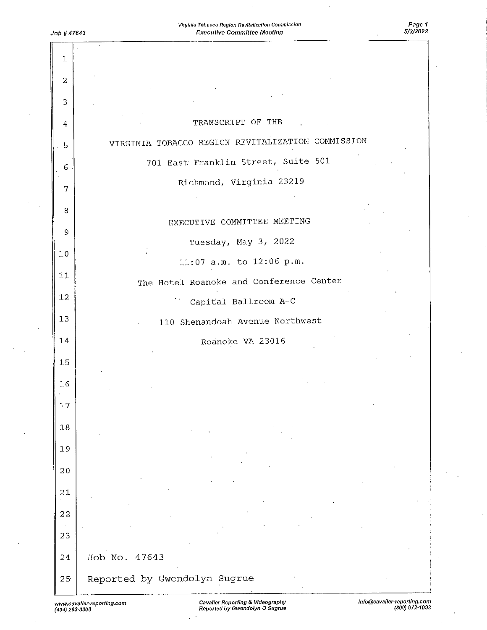| $\mathbf{1}$   |                                                   |
|----------------|---------------------------------------------------|
| $\overline{2}$ |                                                   |
| 3              |                                                   |
| 4              | TRANSCRIPT OF THE                                 |
| 5              | VIRGINIA TOBACCO REGION REVITALIZATION COMMISSION |
| 6              | 701 East Franklin Street, Suite 501               |
| 7              | Richmond, Virginia 23219                          |
| 8              |                                                   |
| 9              | EXECUTIVE COMMITTEE MEETING                       |
|                | Tuesday, May 3, 2022                              |
| 10             | 11:07 a.m. to 12:06 p.m.                          |
| $11\,$         | The Hotel Roanoke and Conference Center           |
| 12             | Capital Ballroom A-C                              |
| 13             | 110 Shenandoah Avenue Northwest                   |
| 14             | Roanoke VA 23016                                  |
| 15             |                                                   |
| 16             |                                                   |
| 17             |                                                   |
| $18\,$         |                                                   |
| 19             |                                                   |
| $2\,0$         |                                                   |
| 21             |                                                   |
| 22             |                                                   |
|                |                                                   |
| 23             |                                                   |
| 24             | Job No. 47643                                     |
| 25             | Reported by Gwendolyn Sugrue                      |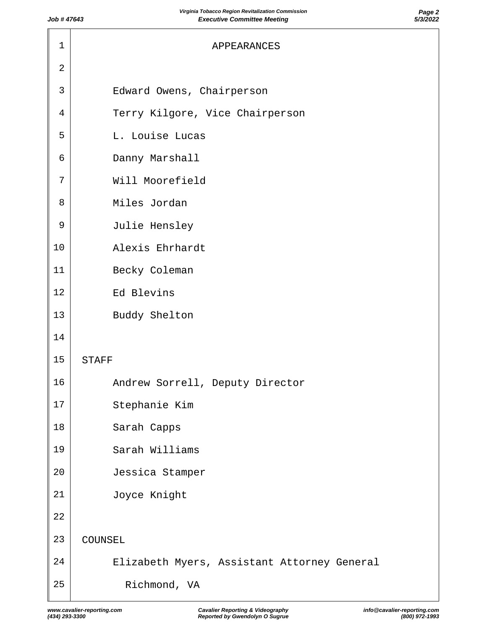| 1              | APPEARANCES                                 |
|----------------|---------------------------------------------|
| $\overline{2}$ |                                             |
| 3              | Edward Owens, Chairperson                   |
| 4              | Terry Kilgore, Vice Chairperson             |
| 5              | L. Louise Lucas                             |
| 6              | Danny Marshall                              |
| 7              | Will Moorefield                             |
| 8              | Miles Jordan                                |
| 9              | Julie Hensley                               |
| 10             | Alexis Ehrhardt                             |
| 11             | Becky Coleman                               |
| 12             | Ed Blevins                                  |
| 13             | Buddy Shelton                               |
| 14             |                                             |
| 15             | <b>STAFF</b>                                |
| 16             | Andrew Sorrell, Deputy Director             |
| 17             | Stephanie Kim                               |
| $18\,$         | Sarah Capps                                 |
| 19             | Sarah Williams                              |
| 20             | Jessica Stamper                             |
| 21             | Joyce Knight                                |
| 22             |                                             |
| 23             | COUNSEL                                     |
| 24             | Elizabeth Myers, Assistant Attorney General |
| 25             | Richmond, VA                                |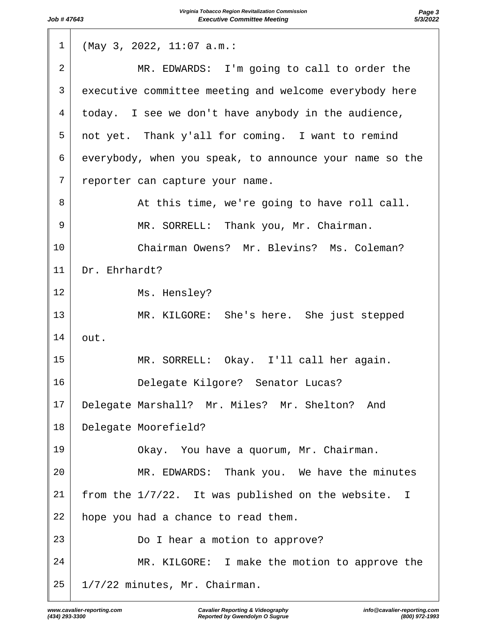| $\mathbf 1$ | (May 3, 2022, 11:07 a.m.:                               |
|-------------|---------------------------------------------------------|
| 2           | MR. EDWARDS: I'm going to call to order the             |
| 3           | executive committee meeting and welcome everybody here  |
| 4           | today. I see we don't have anybody in the audience,     |
| 5           | not yet. Thank y'all for coming. I want to remind       |
| 6           | everybody, when you speak, to announce your name so the |
| 7           | reporter can capture your name.                         |
| 8           | At this time, we're going to have roll call.            |
| 9           | MR. SORRELL: Thank you, Mr. Chairman.                   |
| 10          | Chairman Owens? Mr. Blevins? Ms. Coleman?               |
| 11          | Dr. Ehrhardt?                                           |
| 12          | Ms. Hensley?                                            |
| 13          | MR. KILGORE: She's here. She just stepped               |
| 14          | out.                                                    |
| 15          | MR. SORRELL: Okay. I'll call her again.                 |
| 16          | Delegate Kilgore? Senator Lucas?                        |
| 17          | Delegate Marshall? Mr. Miles? Mr. Shelton?<br>And       |
| 18          | Delegate Moorefield?                                    |
| 19          | Okay. You have a quorum, Mr. Chairman.                  |
| 20          | MR. EDWARDS: Thank you. We have the minutes             |
| 21          | from the 1/7/22. It was published on the website.<br>I  |
| 22          | hope you had a chance to read them.                     |
| 23          | Do I hear a motion to approve?                          |
| 24          | MR. KILGORE: I make the motion to approve the           |
| 25          | 1/7/22 minutes, Mr. Chairman.                           |
|             |                                                         |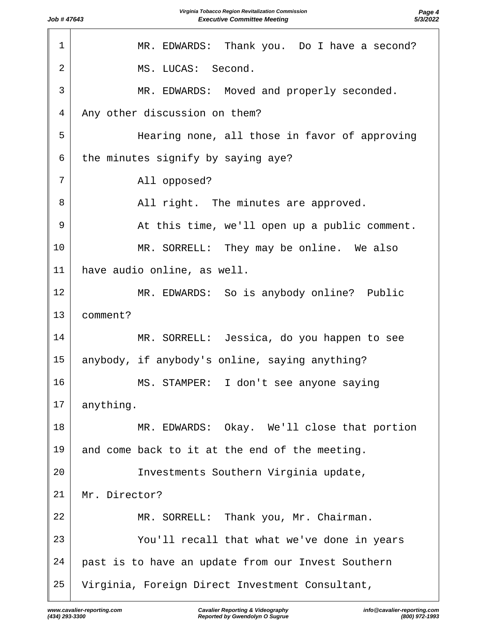| $\mathbf 1$    | MR. EDWARDS: Thank you. Do I have a second?        |
|----------------|----------------------------------------------------|
| $\overline{a}$ | MS. LUCAS: Second.                                 |
| $\overline{3}$ | MR. EDWARDS: Moved and properly seconded.          |
| $\overline{4}$ | Any other discussion on them?                      |
| 5              | Hearing none, all those in favor of approving      |
| 6              | the minutes signify by saying aye?                 |
| 7              | All opposed?                                       |
| 8              | All right. The minutes are approved.               |
| 9              | At this time, we'll open up a public comment.      |
| 10             | MR. SORRELL: They may be online. We also           |
| 11             | have audio online, as well.                        |
| 12             | MR. EDWARDS: So is anybody online? Public          |
| 13             | comment?                                           |
| 14             | MR. SORRELL: Jessica, do you happen to see         |
| 15             | anybody, if anybody's online, saying anything?     |
| 16             | MS.<br>STAMPER: I don't see anyone saying          |
| 17             | anything.                                          |
| 18             | MR. EDWARDS: Okay. We'll close that portion        |
| 19             | and come back to it at the end of the meeting.     |
| 20             | Investments Southern Virginia update,              |
| 21             | Mr. Director?                                      |
| 22             | MR. SORRELL: Thank you, Mr. Chairman.              |
| 23             | You'll recall that what we've done in years        |
| 24             | past is to have an update from our Invest Southern |
| 25             | Virginia, Foreign Direct Investment Consultant,    |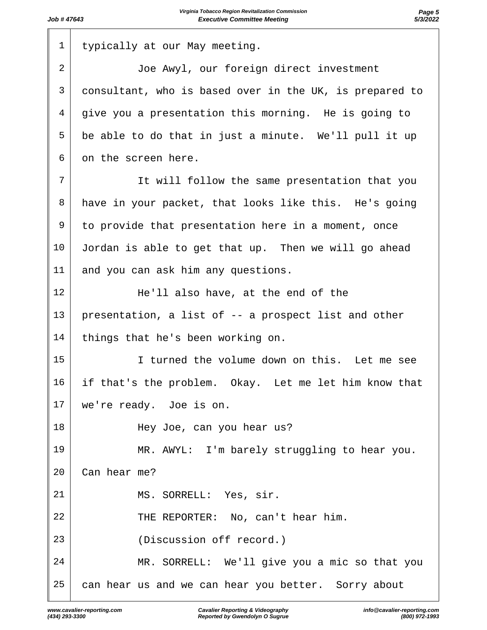| $\mathbf 1$     | typically at our May meeting.                           |
|-----------------|---------------------------------------------------------|
| $\overline{2}$  | Joe Awyl, our foreign direct investment                 |
| 3               | consultant, who is based over in the UK, is prepared to |
| 4               | give you a presentation this morning. He is going to    |
| 5               | be able to do that in just a minute. We'll pull it up   |
| 6               | on the screen here.                                     |
| 7               | It will follow the same presentation that you           |
| 8               | have in your packet, that looks like this. He's going   |
| 9               | to provide that presentation here in a moment, once     |
| 10 <sub>o</sub> | Jordan is able to get that up. Then we will go ahead    |
| 11              | and you can ask him any questions.                      |
| 12              | He'll also have, at the end of the                      |
| 13              | presentation, a list of -- a prospect list and other    |
| 14              | things that he's been working on.                       |
| 15              | I turned the volume down on this. Let me see            |
| 16              | if that's the problem. Okay. Let me let him know that   |
| 17              | we're ready. Joe is on.                                 |
| 18              | Hey Joe, can you hear us?                               |
| 19              | MR. AWYL: I'm barely struggling to hear you.            |
| 20              | Can hear me?                                            |
| 21              | MS. SORRELL: Yes, sir.                                  |
| 22              | THE REPORTER: No, can't hear him.                       |
| 23              | (Discussion off record.)                                |
| 24              | MR. SORRELL: We'll give you a mic so that you           |
| 25              | can hear us and we can hear you better. Sorry about     |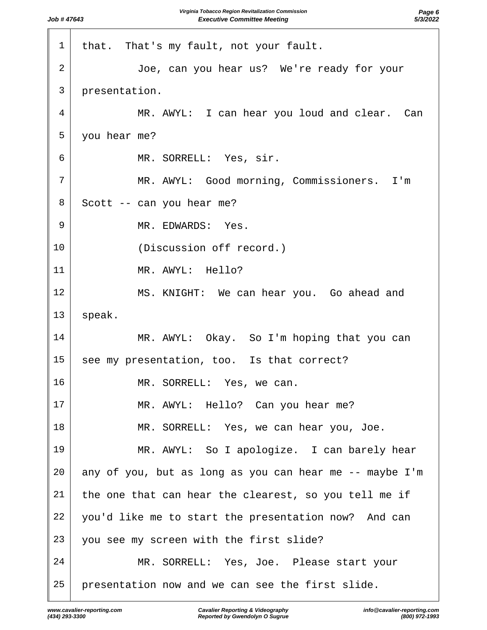| 1  | that. That's my fault, not your fault.                  |
|----|---------------------------------------------------------|
| 2  | Joe, can you hear us? We're ready for your              |
| 3  | presentation.                                           |
| 4  | MR. AWYL: I can hear you loud and clear. Can            |
| 5  | you hear me?                                            |
| 6  | MR. SORRELL: Yes, sir.                                  |
| 7  | MR. AWYL: Good morning, Commissioners. I'm              |
| 8  | Scott -- can you hear me?                               |
| 9  | MR. EDWARDS: Yes.                                       |
| 10 | (Discussion off record.)                                |
| 11 | MR. AWYL: Hello?                                        |
| 12 | MS. KNIGHT: We can hear you. Go ahead and               |
| 13 | speak.                                                  |
| 14 | MR. AWYL: Okay. So I'm hoping that you can              |
| 15 | see my presentation, too. Is that correct?              |
| 16 | MR. SORRELL: Yes, we can.                               |
| 17 | MR. AWYL: Hello? Can you hear me?                       |
| 18 | MR. SORRELL: Yes, we can hear you, Joe.                 |
| 19 | MR. AWYL: So I apologize. I can barely hear             |
| 20 | any of you, but as long as you can hear me -- maybe I'm |
| 21 | the one that can hear the clearest, so you tell me if   |
| 22 | you'd like me to start the presentation now? And can    |
| 23 | you see my screen with the first slide?                 |
| 24 | MR. SORRELL: Yes, Joe. Please start your                |
| 25 | presentation now and we can see the first slide.        |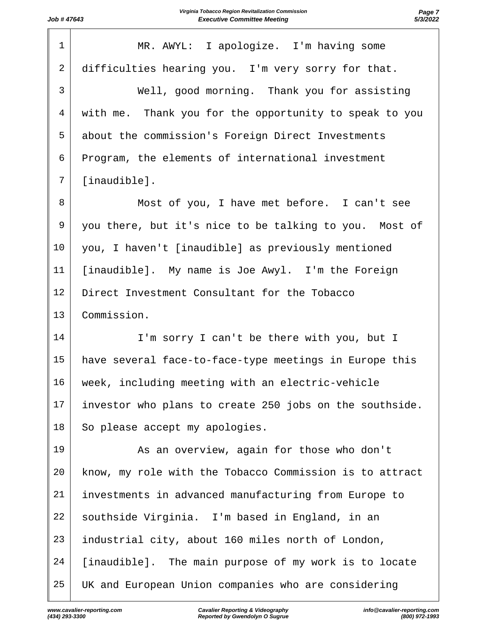| $\mathbf 1$    | MR. AWYL: I apologize. I'm having some                  |
|----------------|---------------------------------------------------------|
| $\overline{2}$ | difficulties hearing you. I'm very sorry for that.      |
| 3              | Well, good morning. Thank you for assisting             |
| $\overline{4}$ | with me. Thank you for the opportunity to speak to you  |
| 5              | about the commission's Foreign Direct Investments       |
| 6              | Program, the elements of international investment       |
| 7              | [inaudible].                                            |
| 8              | Most of you, I have met before. I can't see             |
| 9              | you there, but it's nice to be talking to you. Most of  |
| 10             | you, I haven't [inaudible] as previously mentioned      |
| 11             | [inaudible]. My name is Joe Awyl. I'm the Foreign       |
| 12             | Direct Investment Consultant for the Tobacco            |
| 13             | Commission.                                             |
| 14             | I'm sorry I can't be there with you, but I              |
| 15             | have several face-to-face-type meetings in Europe this  |
| 16             | week, including meeting with an electric-vehicle        |
| 17             | investor who plans to create 250 jobs on the southside. |
| 18             | So please accept my apologies.                          |
| 19             | As an overview, again for those who don't               |
| 20             | know, my role with the Tobacco Commission is to attract |
| 21             | investments in advanced manufacturing from Europe to    |
| 22             | southside Virginia. I'm based in England, in an         |
| 23             | industrial city, about 160 miles north of London,       |
| 24             | [inaudible]. The main purpose of my work is to locate   |
| 25             | UK and European Union companies who are considering     |
|                |                                                         |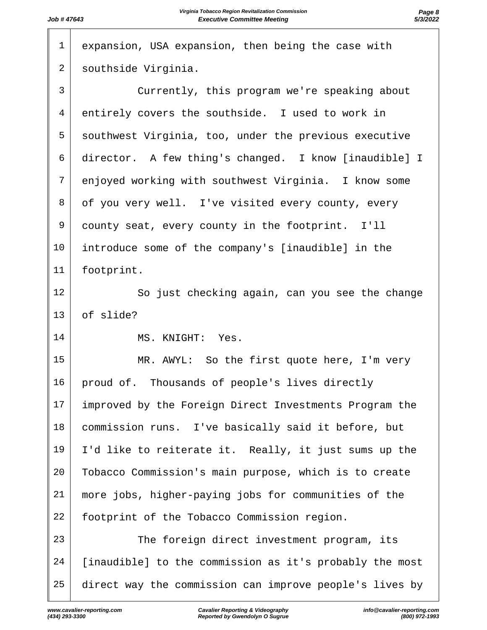| $\mathbf{1}$   | expansion, USA expansion, then being the case with      |
|----------------|---------------------------------------------------------|
| 2              | southside Virginia.                                     |
| $\mathsf{3}$   | Currently, this program we're speaking about            |
| $\overline{4}$ | entirely covers the southside. I used to work in        |
| 5              | southwest Virginia, too, under the previous executive   |
| 6              | director. A few thing's changed. I know [inaudible] I   |
| 7              | enjoyed working with southwest Virginia. I know some    |
| 8              | of you very well. I've visited every county, every      |
| 9              | county seat, every county in the footprint. I'll        |
| 10             | introduce some of the company's [inaudible] in the      |
| 11             | footprint.                                              |
| 12             | So just checking again, can you see the change          |
| 13             | of slide?                                               |
| 14             | MS. KNIGHT: Yes.                                        |
| 15             | MR. AWYL: So the first quote here, I'm very             |
| 16             | proud of. Thousands of people's lives directly          |
| 17             | improved by the Foreign Direct Investments Program the  |
| 18             | commission runs. I've basically said it before, but     |
| 19             |                                                         |
|                | I'd like to reiterate it. Really, it just sums up the   |
| 20             | Tobacco Commission's main purpose, which is to create   |
| 21             | more jobs, higher-paying jobs for communities of the    |
| 22             | footprint of the Tobacco Commission region.             |
| 23             | The foreign direct investment program, its              |
| 24             | [inaudible] to the commission as it's probably the most |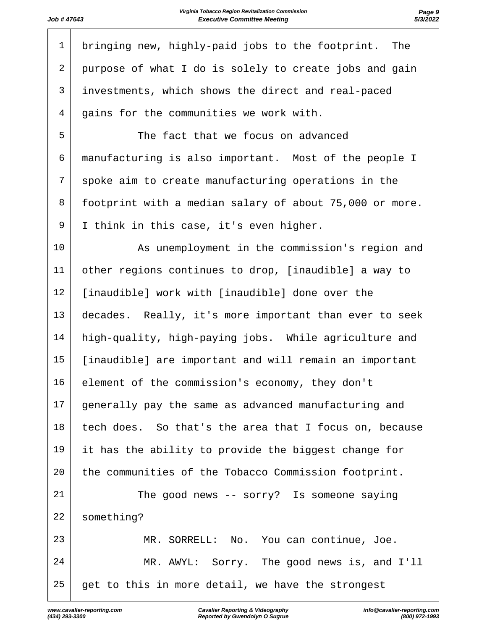| $\mathbf 1$    | bringing new, highly-paid jobs to the footprint.<br>The |
|----------------|---------------------------------------------------------|
| $\overline{2}$ | purpose of what I do is solely to create jobs and gain  |
| 3              | investments, which shows the direct and real-paced      |
| $\overline{4}$ | gains for the communities we work with.                 |
| 5              | The fact that we focus on advanced                      |
| 6              | manufacturing is also important. Most of the people I   |
| 7              | spoke aim to create manufacturing operations in the     |
| 8              | footprint with a median salary of about 75,000 or more. |
| 9              | I think in this case, it's even higher.                 |
| 10             | As unemployment in the commission's region and          |
| 11             | other regions continues to drop, [inaudible] a way to   |
| 12             | [inaudible] work with [inaudible] done over the         |
| 13             | decades. Really, it's more important than ever to seek  |
| 14             | high-quality, high-paying jobs. While agriculture and   |
| 15             | [inaudible] are important and will remain an important  |
| 16             | element of the commission's economy, they don't         |
| 17             | generally pay the same as advanced manufacturing and    |
| 18             | tech does. So that's the area that I focus on, because  |
| 19             | it has the ability to provide the biggest change for    |
| 20             | the communities of the Tobacco Commission footprint.    |
| 21             | The good news $--$ sorry? Is someone saying             |
| 22             | something?                                              |
| 23             | MR. SORRELL: No. You can continue, Joe.                 |
| 24             | MR. AWYL: Sorry. The good news is, and I'll             |
| 25             | get to this in more detail, we have the strongest       |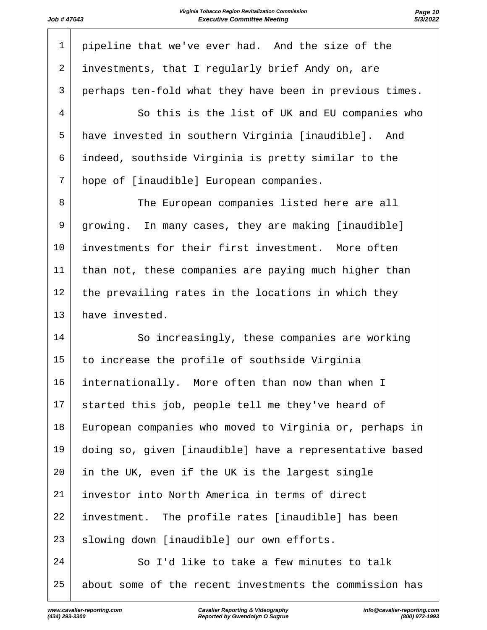$\overline{\phantom{a}}$ 

| $\mathbf 1$    | pipeline that we've ever had. And the size of the       |
|----------------|---------------------------------------------------------|
| 2              | investments, that I regularly brief Andy on, are        |
| 3              | perhaps ten-fold what they have been in previous times. |
| $\overline{4}$ | So this is the list of UK and EU companies who          |
| 5              | have invested in southern Virginia [inaudible]. And     |
| 6              | indeed, southside Virginia is pretty similar to the     |
| 7              | hope of [inaudible] European companies.                 |
| 8              | The European companies listed here are all              |
| 9              | growing. In many cases, they are making [inaudible]     |
| 10             | investments for their first investment. More often      |
| 11             | than not, these companies are paying much higher than   |
| 12             | the prevailing rates in the locations in which they     |
| 13             | have invested.                                          |
| 14             | So increasingly, these companies are working            |
| 15             | to increase the profile of southside Virginia           |
| 16             | internationally. More often than now than when I        |
| 17             | started this job, people tell me they've heard of       |
| 18             | European companies who moved to Virginia or, perhaps in |
| 19             | doing so, given [inaudible] have a representative based |
| 20             | in the UK, even if the UK is the largest single         |
| 21             | investor into North America in terms of direct          |
| 22             | investment. The profile rates [inaudible] has been      |
| 23             | slowing down [inaudible] our own efforts.               |
| 24             | So I'd like to take a few minutes to talk               |
| 25             | about some of the recent investments the commission has |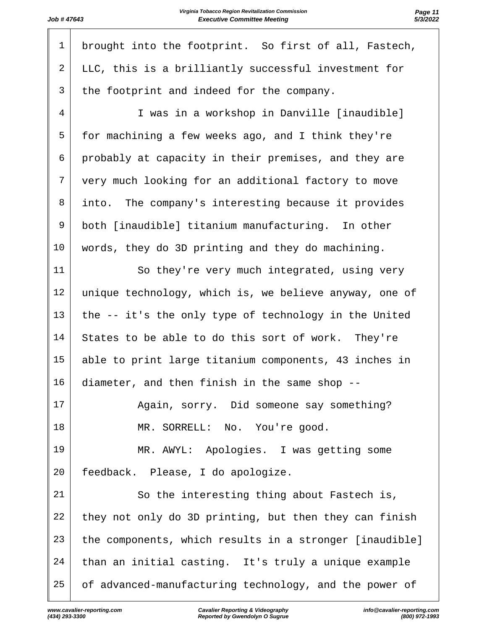| $\mathbf 1$ | brought into the footprint. So first of all, Fastech,   |
|-------------|---------------------------------------------------------|
| 2           | LLC, this is a brilliantly successful investment for    |
| 3           | the footprint and indeed for the company.               |
| 4           | I was in a workshop in Danville [inaudible]             |
| 5           | for machining a few weeks ago, and I think they're      |
| 6           | probably at capacity in their premises, and they are    |
| 7           | very much looking for an additional factory to move     |
| 8           | into. The company's interesting because it provides     |
| 9           | both [inaudible] titanium manufacturing. In other       |
| 10          | words, they do 3D printing and they do machining.       |
| 11          | So they're very much integrated, using very             |
| 12          | unique technology, which is, we believe anyway, one of  |
| 13          | the -- it's the only type of technology in the United   |
| 14          | States to be able to do this sort of work. They're      |
| 15          | able to print large titanium components, 43 inches in   |
| 16          | diameter, and then finish in the same shop              |
| 17          | Again, sorry. Did someone say something?                |
| 18          | MR. SORRELL: No. You're good.                           |
| 19          | MR. AWYL: Apologies. I was getting some                 |
| 20          | feedback. Please, I do apologize.                       |
| 21          | So the interesting thing about Fastech is,              |
| 22          | they not only do 3D printing, but then they can finish  |
| 23          | the components, which results in a stronger [inaudible] |
| 24          | than an initial casting. It's truly a unique example    |
| 25          | of advanced-manufacturing technology, and the power of  |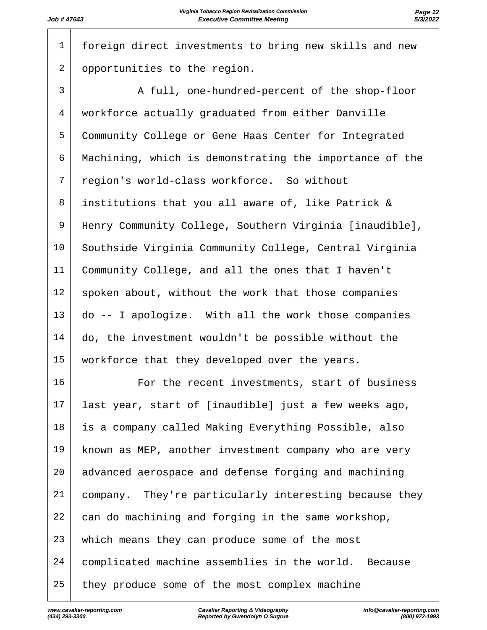foreign direct investments to bring new skills and new 2 opportunities to the region. 3 A full, one-hundred-percent of the shop-floor workforce actually graduated from either Danville Community College or Gene Haas Center for Integrated Machining, which is demonstrating the importance of the region's world-class workforce. So without institutions that you all aware of, like Patrick & Henry Community College, Southern Virginia [inaudible], 10 Southside Virginia Community College, Central Virginia Community College, and all the ones that I haven't 12 spoken about, without the work that those companies do -- I apologize. With all the work those companies 14 | do, the investment wouldn't be possible without the 15 | workforce that they developed over the years. For the recent investments, start of business last year, start of [inaudible] just a few weeks ago, is a company called Making Everything Possible, also known as MEP, another investment company who are very 20 advanced aerospace and defense forging and machining company. They're particularly interesting because they can do machining and forging in the same workshop, 23 which means they can produce some of the most complicated machine assemblies in the world. Because they produce some of the most complex machine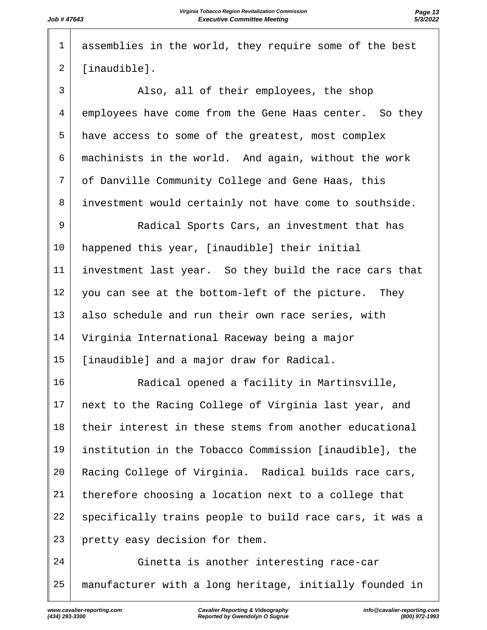| $\mathbf 1$    | assemblies in the world, they require some of the best  |
|----------------|---------------------------------------------------------|
| $\overline{2}$ | [inaudible].                                            |
| $\mathsf{3}$   | Also, all of their employees, the shop                  |
| 4              | employees have come from the Gene Haas center. So they  |
| 5              | have access to some of the greatest, most complex       |
| 6              | machinists in the world. And again, without the work    |
| 7              | of Danville Community College and Gene Haas, this       |
| 8              | investment would certainly not have come to southside.  |
| 9              | Radical Sports Cars, an investment that has             |
| 10             | happened this year, [inaudible] their initial           |
| 11             | investment last year. So they build the race cars that  |
| 12             | you can see at the bottom-left of the picture. They     |
| 13             | also schedule and run their own race series, with       |
| 14             | Virginia International Raceway being a major            |
| 15             | [inaudible] and a major draw for Radical.               |
| 16             | Radical opened a facility in Martinsville,              |
| 17             | next to the Racing College of Virginia last year, and   |
| 18             | their interest in these stems from another educational  |
| 19             | institution in the Tobacco Commission [inaudible], the  |
| 20             | Racing College of Virginia. Radical builds race cars,   |
| 21             | therefore choosing a location next to a college that    |
| 22             | specifically trains people to build race cars, it was a |
| 23             | pretty easy decision for them.                          |
| 24             | Ginetta is another interesting race-car                 |
| 25             | manufacturer with a long heritage, initially founded in |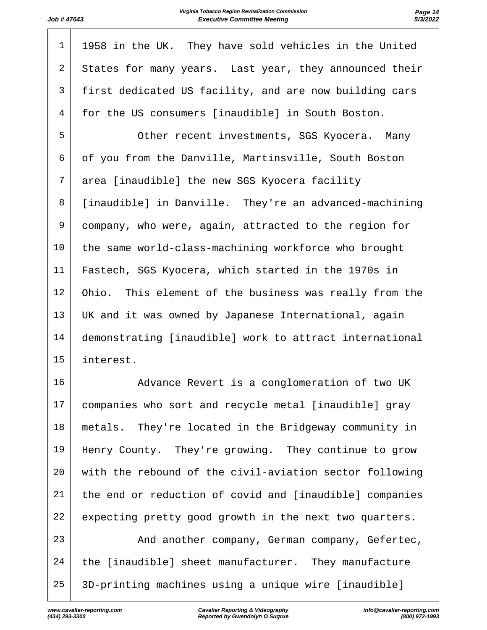| $\mathbf 1$    | 1958 in the UK. They have sold vehicles in the United   |
|----------------|---------------------------------------------------------|
| $\overline{a}$ | States for many years. Last year, they announced their  |
| 3              | first dedicated US facility, and are now building cars  |
| 4              | for the US consumers [inaudible] in South Boston.       |
| 5              | Other recent investments, SGS Kyocera. Many             |
| 6              | of you from the Danville, Martinsville, South Boston    |
| 7              | area [inaudible] the new SGS Kyocera facility           |
| 8              | [inaudible] in Danville. They're an advanced-machining  |
| 9              | company, who were, again, attracted to the region for   |
| 10             | the same world-class-machining workforce who brought    |
| 11             | Fastech, SGS Kyocera, which started in the 1970s in     |
| 12             | Ohio. This element of the business was really from the  |
| 13             | UK and it was owned by Japanese International, again    |
| 14             | demonstrating [inaudible] work to attract international |
| 15             | interest.                                               |
| 16             | Advance Revert is a conglomeration of two UK            |
| 17             | companies who sort and recycle metal [inaudible] gray   |
|                |                                                         |

 metals. They're located in the Bridgeway community in 19 | Henry County. They're growing. They continue to grow with the rebound of the civil-aviation sector following the end or reduction of covid and [inaudible] companies 22 expecting pretty good growth in the next two quarters.

23 | And another company, German company, Gefertec, 24 the [inaudible] sheet manufacturer. They manufacture 3D-printing machines using a unique wire [inaudible]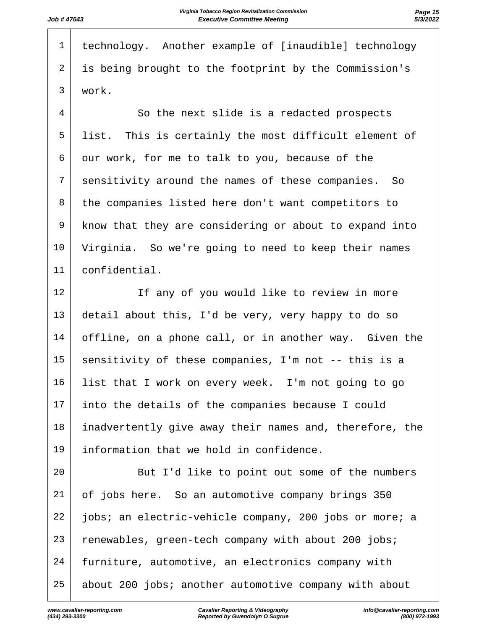| $\mathbf 1$    | technology. Another example of [inaudible] technology |
|----------------|-------------------------------------------------------|
| $\overline{2}$ | is being brought to the footprint by the Commission's |
| 3              | work.                                                 |
| $\overline{4}$ | So the next slide is a redacted prospects             |
| 5              | list. This is certainly the most difficult element of |
| 6              | our work, for me to talk to you, because of the       |
| 7              | sensitivity around the names of these companies. So   |
|                |                                                       |

 the companies listed here don't want competitors to know that they are considering or about to expand into Virginia. So we're going to need to keep their names confidential.

12 | The any of you would like to review in more detail about this, I'd be very, very happy to do so offline, on a phone call, or in another way. Given the 15 sensitivity of these companies, I'm not -- this is a list that I work on every week. I'm not going to go into the details of the companies because I could inadvertently give away their names and, therefore, the information that we hold in confidence.

20 But I'd like to point out some of the numbers of jobs here. So an automotive company brings 350 jobs; an electric-vehicle company, 200 jobs or more; a renewables, green-tech company with about 200 jobs; furniture, automotive, an electronics company with 25 about 200 jobs; another automotive company with about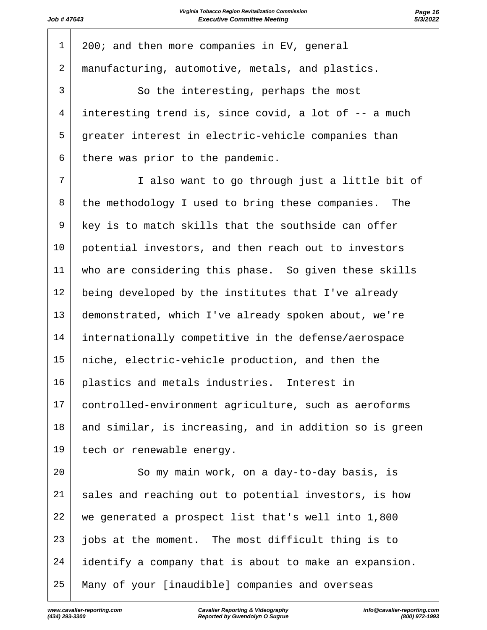| 1              | 200; and then more companies in EV, general             |
|----------------|---------------------------------------------------------|
| $\overline{a}$ | manufacturing, automotive, metals, and plastics.        |
| 3              | So the interesting, perhaps the most                    |
| $\overline{4}$ | interesting trend is, since covid, a lot of -- a much   |
| 5              | greater interest in electric-vehicle companies than     |
| 6              | there was prior to the pandemic.                        |
| 7              | I also want to go through just a little bit of          |
| 8              | the methodology I used to bring these companies. The    |
| 9              | key is to match skills that the southside can offer     |
| 10             | potential investors, and then reach out to investors    |
| 11             | who are considering this phase. So given these skills   |
| 12             | being developed by the institutes that I've already     |
| 13             | demonstrated, which I've already spoken about, we're    |
| 14             | internationally competitive in the defense/aerospace    |
| 15             | niche, electric-vehicle production, and then the        |
| 16             | plastics and metals industries. Interest in             |
| 17             | controlled-environment agriculture, such as aeroforms   |
| 18             | and similar, is increasing, and in addition so is green |
| 19             | tech or renewable energy.                               |
| 20             | So my main work, on a day-to-day basis, is              |
| 21             | sales and reaching out to potential investors, is how   |
| 22             | we generated a prospect list that's well into 1,800     |
| 23             | jobs at the moment. The most difficult thing is to      |
| 24             | identify a company that is about to make an expansion.  |
| 25             | Many of your [inaudible] companies and overseas         |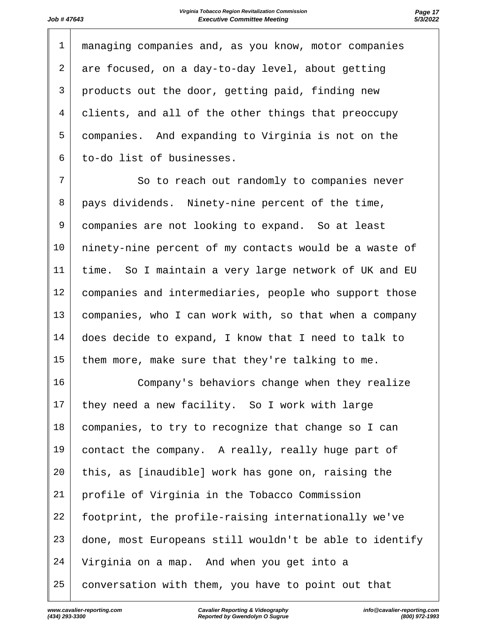|                | managing companies and, as you know, motor companies |
|----------------|------------------------------------------------------|
| 2 <sup>1</sup> | are focused, on a day-to-day level, about getting    |
| 3 <sup>1</sup> | products out the door, getting paid, finding new     |
| 4              | clients, and all of the other things that preoccupy  |
| 5              | companies. And expanding to Virginia is not on the   |
| 6              | to-do list of businesses.                            |

7 So to reach out randomly to companies never 8 | pays dividends. Ninety-nine percent of the time, companies are not looking to expand. So at least ninety-nine percent of my contacts would be a waste of time. So I maintain a very large network of UK and EU companies and intermediaries, people who support those companies, who I can work with, so that when a company does decide to expand, I know that I need to talk to 15 them more, make sure that they're talking to me.

 Company's behaviors change when they realize 17 they need a new facility. So I work with large companies, to try to recognize that change so I can contact the company. A really, really huge part of this, as [inaudible] work has gone on, raising the profile of Virginia in the Tobacco Commission footprint, the profile-raising internationally we've done, most Europeans still wouldn't be able to identify Virginia on a map. And when you get into a conversation with them, you have to point out that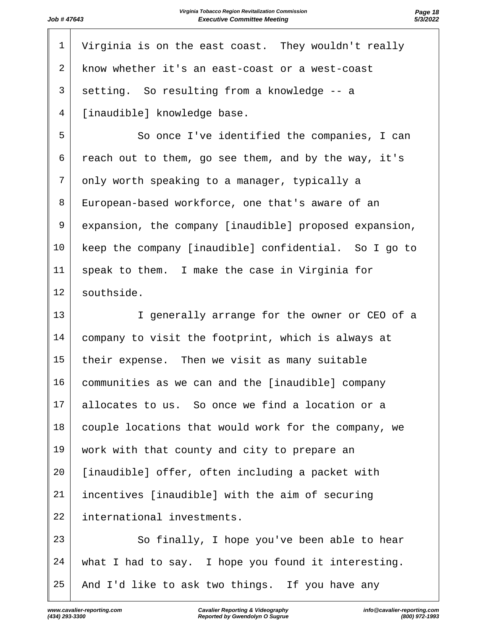| 1              | Virginia is on the east coast. They wouldn't really    |
|----------------|--------------------------------------------------------|
| $\overline{2}$ | know whether it's an east-coast or a west-coast        |
| 3              | setting. So resulting from a knowledge -- a            |
| 4              | [inaudible] knowledge base.                            |
| 5              | So once I've identified the companies, I can           |
| 6              | reach out to them, go see them, and by the way, it's   |
| 7              | only worth speaking to a manager, typically a          |
| 8              | European-based workforce, one that's aware of an       |
| 9              | expansion, the company [inaudible] proposed expansion, |
| 10             | keep the company [inaudible] confidential. So I go to  |
| 11             | speak to them. I make the case in Virginia for         |
| 12             | southside.                                             |
| 13             | I generally arrange for the owner or CEO of a          |
| 14             | company to visit the footprint, which is always at     |
| 15             | their expense. Then we visit as many suitable          |
| 16             | communities as we can and the [inaudible] company      |
| 17             | allocates to us. So once we find a location or a       |
| 18             | couple locations that would work for the company, we   |
| 19             | work with that county and city to prepare an           |
| 20             | [inaudible] offer, often including a packet with       |
| 21             | incentives [inaudible] with the aim of securing        |
| 22             | international investments.                             |
| 23             | So finally, I hope you've been able to hear            |
| 24             | what I had to say. I hope you found it interesting.    |
| 25             | And I'd like to ask two things. If you have any        |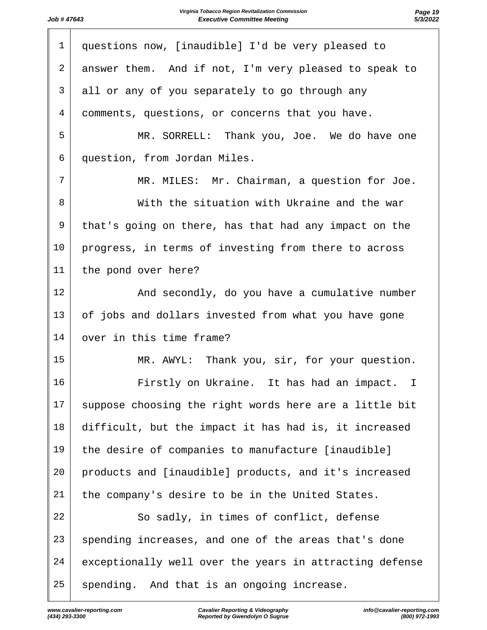| $\mathbf{1}$   | questions now, [inaudible] I'd be very pleased to         |
|----------------|-----------------------------------------------------------|
| 2              | answer them. And if not, I'm very pleased to speak to     |
| 3              | all or any of you separately to go through any            |
| $\overline{4}$ | comments, questions, or concerns that you have.           |
| 5              | MR. SORRELL: Thank you, Joe. We do have one               |
| 6              | question, from Jordan Miles.                              |
| $\overline{7}$ | MR. MILES: Mr. Chairman, a question for Joe.              |
| 8              | With the situation with Ukraine and the war               |
| 9              | that's going on there, has that had any impact on the     |
| $10 \,$        | progress, in terms of investing from there to across      |
| 11             | the pond over here?                                       |
| 12             | And secondly, do you have a cumulative number             |
| 13             | of jobs and dollars invested from what you have gone      |
| 14             | over in this time frame?                                  |
| 15             | MR. AWYL: Thank you, sir, for your question.              |
| 16             | Firstly on Ukraine. It has had an impact.<br>$\mathbb{I}$ |
| 17             | suppose choosing the right words here are a little bit    |
| 18             | difficult, but the impact it has had is, it increased     |
| 19             | the desire of companies to manufacture [inaudible]        |
| 20             | products and [inaudible] products, and it's increased     |
| 21             | the company's desire to be in the United States.          |
| 22             | So sadly, in times of conflict, defense                   |
| 23             | spending increases, and one of the areas that's done      |
| 24             | exceptionally well over the years in attracting defense   |
| 25             | spending. And that is an ongoing increase.                |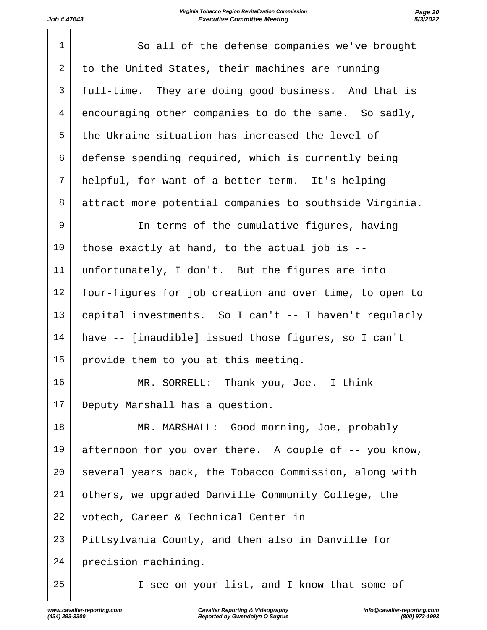| $\mathbf 1$    | So all of the defense companies we've brought           |
|----------------|---------------------------------------------------------|
| 2              | to the United States, their machines are running        |
| 3              | full-time. They are doing good business. And that is    |
| $\overline{4}$ | encouraging other companies to do the same. So sadly,   |
| 5              | the Ukraine situation has increased the level of        |
| 6              | defense spending required, which is currently being     |
| 7              | helpful, for want of a better term. It's helping        |
| 8              | attract more potential companies to southside Virginia. |
| 9              | In terms of the cumulative figures, having              |
| 10             | those exactly at hand, to the actual job is --          |
| 11             | unfortunately, I don't. But the figures are into        |
| 12             | four-figures for job creation and over time, to open to |
| 13             | capital investments. So I can't -- I haven't regularly  |
| 14             | have -- [inaudible] issued those figures, so I can't    |
| 15             | provide them to you at this meeting.                    |
| 16             | MR. SORRELL: Thank you, Joe. I think                    |
| 17             | Deputy Marshall has a question.                         |
| 18             | MR. MARSHALL: Good morning, Joe, probably               |
| 19             | afternoon for you over there. A couple of -- you know,  |
| 20             | several years back, the Tobacco Commission, along with  |
| 21             | others, we upgraded Danville Community College, the     |
| 22             | votech, Career & Technical Center in                    |
| 23             | Pittsylvania County, and then also in Danville for      |
| 24             | precision machining.                                    |
| 25             | I see on your list, and I know that some of             |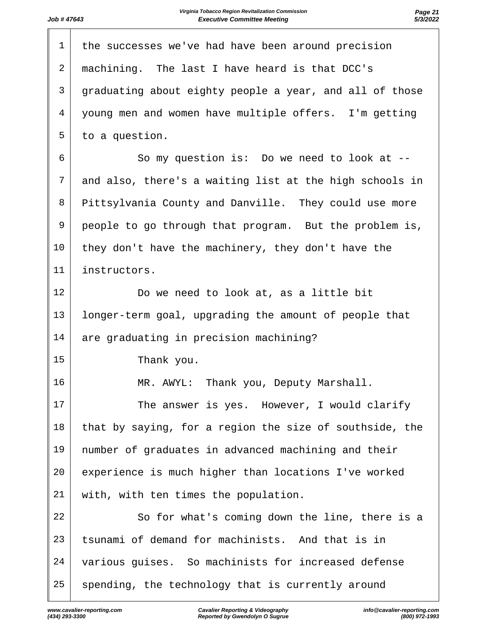| $\mathbf 1$ | the successes we've had have been around precision      |
|-------------|---------------------------------------------------------|
| 2           | machining. The last I have heard is that DCC's          |
| 3           | graduating about eighty people a year, and all of those |
| 4           | young men and women have multiple offers. I'm getting   |
| 5           | to a question.                                          |
| 6           | So my question is: Do we need to look at --             |
| 7           | and also, there's a waiting list at the high schools in |
| 8           | Pittsylvania County and Danville. They could use more   |
| 9           | people to go through that program. But the problem is,  |
| 10          | they don't have the machinery, they don't have the      |
| 11          | instructors.                                            |
| 12          | Do we need to look at, as a little bit                  |
| 13          | longer-term goal, upgrading the amount of people that   |
| 14          | are graduating in precision machining?                  |
| 15          | Thank you.                                              |
| 16          | Thank you, Deputy Marshall.<br>MR. AWYL:                |
| 17          | The answer is yes. However, I would clarify             |
| 18          | that by saying, for a region the size of southside, the |
| 19          | number of graduates in advanced machining and their     |
| 20          | experience is much higher than locations I've worked    |
| 21          | with, with ten times the population.                    |
| 22          | So for what's coming down the line, there is a          |
| 23          | tsunami of demand for machinists. And that is in        |
| 24          | various guises. So machinists for increased defense     |
| 25          | spending, the technology that is currently around       |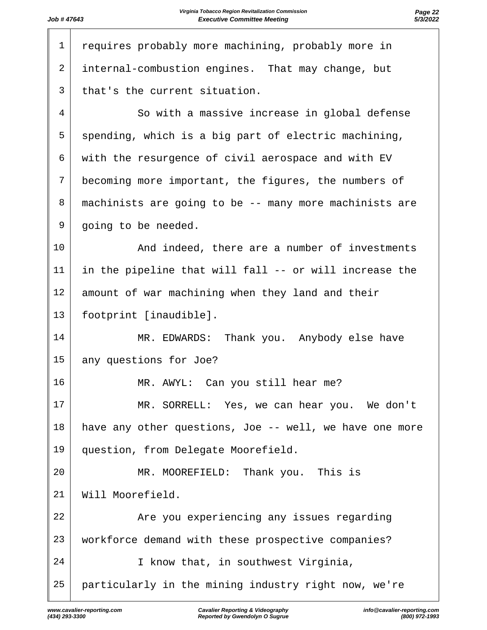| $\mathbf 1$    | requires probably more machining, probably more in      |
|----------------|---------------------------------------------------------|
| 2              | internal-combustion engines. That may change, but       |
| 3              | that's the current situation.                           |
| 4              | So with a massive increase in global defense            |
| 5              | spending, which is a big part of electric machining,    |
| 6              | with the resurgence of civil aerospace and with EV      |
| $\overline{7}$ | becoming more important, the figures, the numbers of    |
| 8              | machinists are going to be -- many more machinists are  |
| 9              | going to be needed.                                     |
| 10             | And indeed, there are a number of investments           |
| 11             | in the pipeline that will fall -- or will increase the  |
| 12             | amount of war machining when they land and their        |
| 13             | footprint [inaudible].                                  |
| 14             | MR. EDWARDS: Thank you. Anybody else have               |
| 15             | any questions for Joe?                                  |
| 16             | MR. AWYL: Can you still hear me?                        |
| 17             | MR. SORRELL: Yes, we can hear you. We don't             |
| 18             | have any other questions, Joe -- well, we have one more |
| 19             | question, from Delegate Moorefield.                     |
| 20             | MR. MOOREFIELD: Thank you. This is                      |
| 21             | Will Moorefield.                                        |
| 22             | Are you experiencing any issues regarding               |
| 23             | workforce demand with these prospective companies?      |
| 24             | I know that, in southwest Virginia,                     |
| 25             | particularly in the mining industry right now, we're    |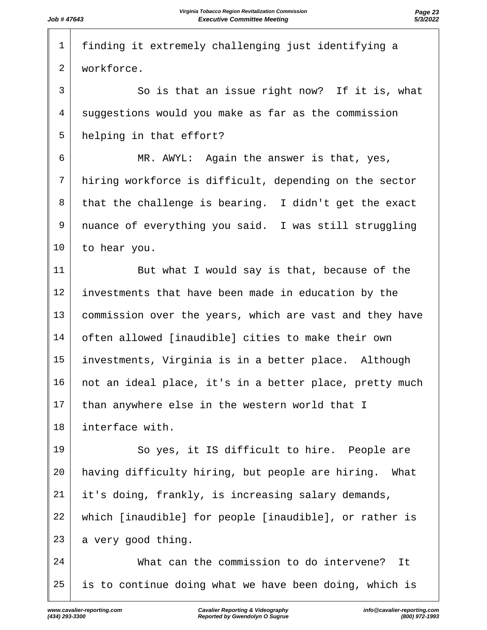| $\mathbf 1$    | finding it extremely challenging just identifying a     |
|----------------|---------------------------------------------------------|
| 2              | workforce.                                              |
| 3              | So is that an issue right now? If it is, what           |
| $\overline{4}$ | suggestions would you make as far as the commission     |
| 5              | helping in that effort?                                 |
| 6              | MR. AWYL: Again the answer is that, yes,                |
| 7              | hiring workforce is difficult, depending on the sector  |
| 8              | that the challenge is bearing. I didn't get the exact   |
| 9              | nuance of everything you said. I was still struggling   |
| 10             | to hear you.                                            |
| 11             | But what I would say is that, because of the            |
| 12             | investments that have been made in education by the     |
| 13             | commission over the years, which are vast and they have |
| 14             | often allowed [inaudible] cities to make their own      |
| 15             | investments, Virginia is in a better place. Although    |
| 16             | not an ideal place, it's in a better place, pretty much |
| 17             | than anywhere else in the western world that I          |
| 18             | interface with.                                         |
| 19             | So yes, it IS difficult to hire. People are             |
| 20             | having difficulty hiring, but people are hiring. What   |
| 21             | it's doing, frankly, is increasing salary demands,      |
| 22             | which [inaudible] for people [inaudible], or rather is  |
| 23             | a very good thing.                                      |
| 24             | What can the commission to do intervene?<br>It          |
| 25             | is to continue doing what we have been doing, which is  |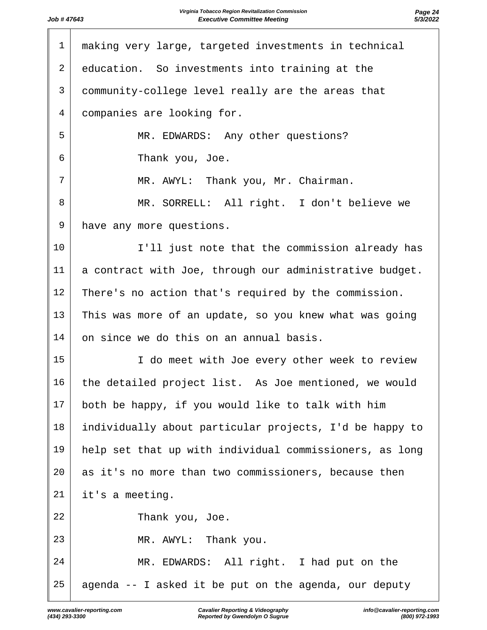| $\mathbf 1$    | making very large, targeted investments in technical    |
|----------------|---------------------------------------------------------|
| 2              | education. So investments into training at the          |
| 3              | community-college level really are the areas that       |
| $\overline{4}$ | companies are looking for.                              |
| 5              | MR. EDWARDS: Any other questions?                       |
| 6              | Thank you, Joe.                                         |
| 7              | MR. AWYL: Thank you, Mr. Chairman.                      |
| 8              | MR. SORRELL: All right. I don't believe we              |
| 9              | have any more questions.                                |
| 10             | I'll just note that the commission already has          |
| 11             | a contract with Joe, through our administrative budget. |
| 12             | There's no action that's required by the commission.    |
| 13             | This was more of an update, so you knew what was going  |
| 14             | on since we do this on an annual basis.                 |
| 15             | I do meet with Joe every other week to review           |
| 16             | the detailed project list. As Joe mentioned, we would   |
| 17             | both be happy, if you would like to talk with him       |
| 18             | individually about particular projects, I'd be happy to |
| 19             | help set that up with individual commissioners, as long |
| 20             | as it's no more than two commissioners, because then    |
| 21             | it's a meeting.                                         |
| 22             | Thank you, Joe.                                         |
| 23             | MR. AWYL: Thank you.                                    |
| 24             | MR. EDWARDS: All right. I had put on the                |
| 25             | agenda -- I asked it be put on the agenda, our deputy   |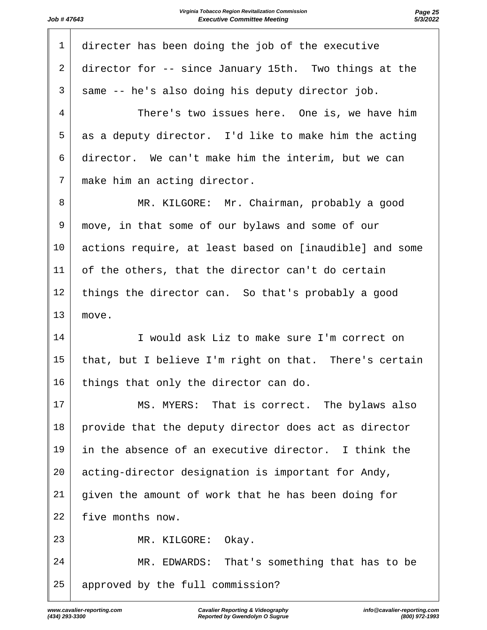| $\mathbf{1}$ | directer has been doing the job of the executive        |
|--------------|---------------------------------------------------------|
| 2            | director for -- since January 15th. Two things at the   |
| 3            | same -- he's also doing his deputy director job.        |
| 4            | There's two issues here. One is, we have him            |
| 5            | as a deputy director. I'd like to make him the acting   |
| 6            | director. We can't make him the interim, but we can     |
| 7            | make him an acting director.                            |
| 8            | MR. KILGORE: Mr. Chairman, probably a good              |
| 9            | move, in that some of our bylaws and some of our        |
| 10           | actions require, at least based on [inaudible] and some |
| 11           | of the others, that the director can't do certain       |
| 12           | things the director can. So that's probably a good      |
| 13           | move.                                                   |
| 14           | I would ask Liz to make sure I'm correct on             |
| 15           | that, but I believe I'm right on that. There's certain  |
| 16           | things that only the director can do.                   |
| 17           | MS. MYERS: That is correct. The bylaws also             |
| 18           | provide that the deputy director does act as director   |
| 19           | in the absence of an executive director. I think the    |
| 20           | acting-director designation is important for Andy,      |
| 21           | given the amount of work that he has been doing for     |
| 22           | five months now.                                        |
| 23           | MR. KILGORE:<br>Okay.                                   |
| 24           | MR. EDWARDS: That's something that has to be            |
| 25           | approved by the full commission?                        |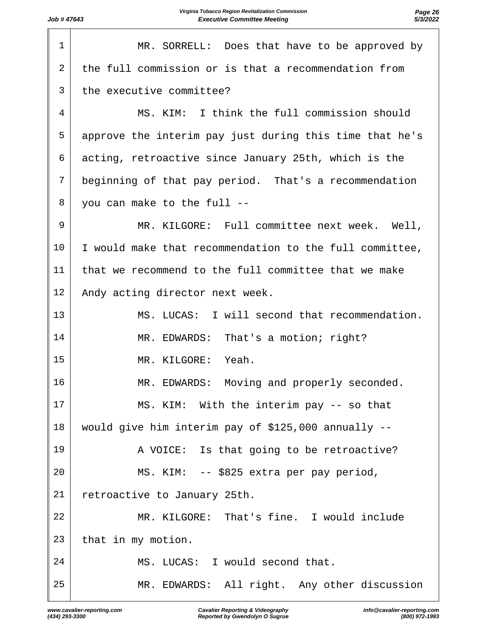| 1  | MR. SORRELL: Does that have to be approved by           |
|----|---------------------------------------------------------|
| 2  | the full commission or is that a recommendation from    |
| 3  | the executive committee?                                |
| 4  | MS. KIM: I think the full commission should             |
| 5  | approve the interim pay just during this time that he's |
| 6  | acting, retroactive since January 25th, which is the    |
| 7  | beginning of that pay period. That's a recommendation   |
| 8  | you can make to the full --                             |
| 9  | MR. KILGORE: Full committee next week. Well,            |
| 10 | I would make that recommendation to the full committee, |
| 11 | that we recommend to the full committee that we make    |
| 12 | Andy acting director next week.                         |
| 13 | MS. LUCAS: I will second that recommendation.           |
| 14 | MR. EDWARDS: That's a motion; right?                    |
| 15 | Yeah.<br>MR. KILGORE:                                   |
| 16 | MR. EDWARDS: Moving and properly seconded.              |
| 17 | MS. KIM: With the interim pay -- so that                |
| 18 | would give him interim pay of \$125,000 annually --     |
| 19 | A VOICE: Is that going to be retroactive?               |
| 20 | MS. KIM: -- \$825 extra per pay period,                 |
| 21 | retroactive to January 25th.                            |
| 22 | MR. KILGORE: That's fine. I would include               |
| 23 | that in my motion.                                      |
| 24 | MS. LUCAS: I would second that.                         |
| 25 | MR. EDWARDS: All right. Any other discussion            |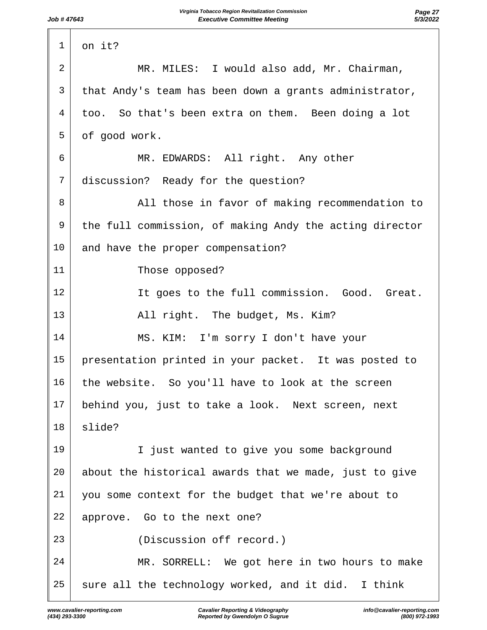| $\mathbf 1$ | on it?                                                  |
|-------------|---------------------------------------------------------|
| 2           | MR. MILES: I would also add, Mr. Chairman,              |
| 3           | that Andy's team has been down a grants administrator,  |
| 4           | too. So that's been extra on them. Been doing a lot     |
| 5           | of good work.                                           |
| 6           | MR. EDWARDS: All right. Any other                       |
| 7           | discussion? Ready for the question?                     |
| 8           | All those in favor of making recommendation to          |
| 9           | the full commission, of making Andy the acting director |
| 10          | and have the proper compensation?                       |
| 11          | Those opposed?                                          |
| 12          | It goes to the full commission. Good. Great.            |
| 13          | All right. The budget, Ms. Kim?                         |
| 14          | MS. KIM: I'm sorry I don't have your                    |
| 15          | presentation printed in your packet. It was posted to   |
| 16          | the website. So you'll have to look at the screen       |
| 17          | behind you, just to take a look. Next screen, next      |
| 18          | slide?                                                  |
| 19          | I just wanted to give you some background               |
| 20          | about the historical awards that we made, just to give  |
| 21          | you some context for the budget that we're about to     |
| 22          | approve. Go to the next one?                            |
| 23          | (Discussion off record.)                                |
| 24          | MR. SORRELL: We got here in two hours to make           |
| 25          | sure all the technology worked, and it did. I think     |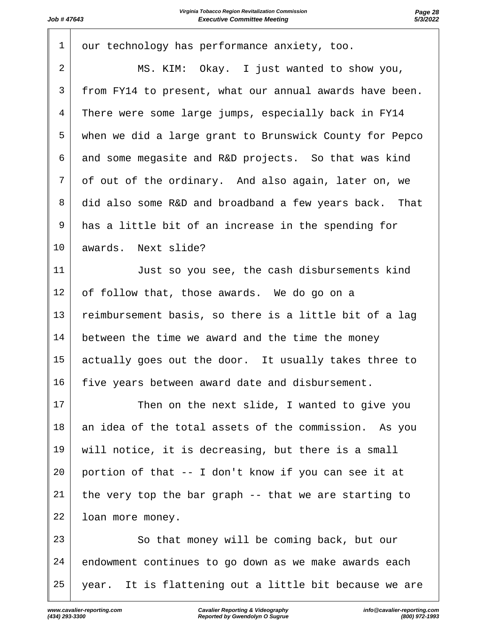| $\mathbf 1$    | our technology has performance anxiety, too.            |
|----------------|---------------------------------------------------------|
| $\overline{2}$ | MS. KIM: Okay. I just wanted to show you,               |
| 3              | from FY14 to present, what our annual awards have been. |
| 4              | There were some large jumps, especially back in FY14    |
| 5              | when we did a large grant to Brunswick County for Pepco |
| 6              | and some megasite and R&D projects. So that was kind    |
| 7              | of out of the ordinary. And also again, later on, we    |
| 8              | did also some R&D and broadband a few years back. That  |
| 9              | has a little bit of an increase in the spending for     |
| 10             | awards. Next slide?                                     |
| 11             | Just so you see, the cash disbursements kind            |
| 12             | of follow that, those awards. We do go on a             |
| 13             | reimbursement basis, so there is a little bit of a lag  |
| 14             | between the time we award and the time the money        |
| 15             | actually goes out the door. It usually takes three to   |
| 16             | five years between award date and disbursement.         |
| 17             | Then on the next slide, I wanted to give you            |
| 18             | an idea of the total assets of the commission. As you   |
| 19             | will notice, it is decreasing, but there is a small     |
| 20             | portion of that -- I don't know if you can see it at    |
| 21             | the very top the bar graph -- that we are starting to   |
| 22             | loan more money.                                        |
| 23             | So that money will be coming back, but our              |
| 24             | endowment continues to go down as we make awards each   |
| 25             | year. It is flattening out a little bit because we are  |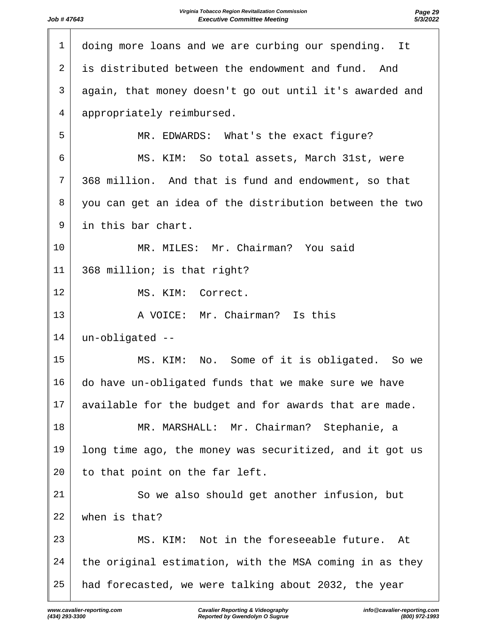| $\mathbf 1$    | doing more loans and we are curbing our spending. It    |
|----------------|---------------------------------------------------------|
| 2              | is distributed between the endowment and fund. And      |
| 3              | again, that money doesn't go out until it's awarded and |
| $\overline{4}$ | appropriately reimbursed.                               |
| 5              | MR. EDWARDS: What's the exact figure?                   |
| 6              | MS. KIM: So total assets, March 31st, were              |
| 7              | 368 million. And that is fund and endowment, so that    |
| 8              | you can get an idea of the distribution between the two |
| 9              | in this bar chart.                                      |
| 10             | MR. MILES: Mr. Chairman? You said                       |
| 11             | 368 million; is that right?                             |
| 12             | MS. KIM: Correct.                                       |
| 13             | A VOICE: Mr. Chairman? Is this                          |
| 14             | un-obligated --                                         |
| 15             | MS. KIM: No. Some of it is obligated. So we             |
| 16             | do have un-obligated funds that we make sure we have    |
| 17             | available for the budget and for awards that are made.  |
| 18             | MR. MARSHALL: Mr. Chairman? Stephanie, a                |
| 19             | long time ago, the money was securitized, and it got us |
| 20             | to that point on the far left.                          |
| 21             | So we also should get another infusion, but             |
| 22             | when is that?                                           |
| 23             | MS. KIM: Not in the foreseeable future.<br>At           |
| 24             | the original estimation, with the MSA coming in as they |
| 25             | had forecasted, we were talking about 2032, the year    |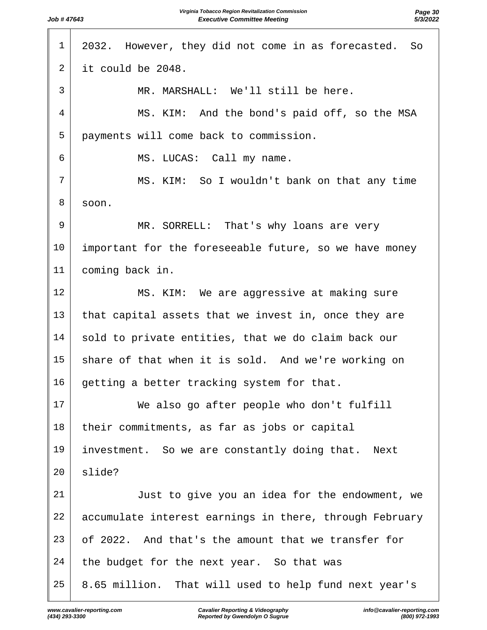| $\mathbf{1}$ | 2032. However, they did not come in as forecasted. So   |
|--------------|---------------------------------------------------------|
| 2            | it could be 2048.                                       |
| 3            | MR. MARSHALL: We'll still be here.                      |
| 4            | MS. KIM: And the bond's paid off, so the MSA            |
| 5            | payments will come back to commission.                  |
| 6            | MS. LUCAS: Call my name.                                |
| 7            | MS. KIM: So I wouldn't bank on that any time            |
| 8            | soon.                                                   |
| 9            | MR. SORRELL: That's why loans are very                  |
| 10           | important for the foreseeable future, so we have money  |
| 11           | coming back in.                                         |
| 12           | MS. KIM: We are aggressive at making sure               |
| 13           | that capital assets that we invest in, once they are    |
| 14           | sold to private entities, that we do claim back our     |
| 15           | share of that when it is sold. And we're working on     |
| 16           | getting a better tracking system for that.              |
| 17           | We also go after people who don't fulfill               |
| 18           | their commitments, as far as jobs or capital            |
| 19           | investment. So we are constantly doing that. Next       |
| 20           | slide?                                                  |
| 21           | Just to give you an idea for the endowment, we          |
| 22           | accumulate interest earnings in there, through February |
| 23           | of 2022. And that's the amount that we transfer for     |
| 24           | the budget for the next year. So that was               |
| 25           | 8.65 million. That will used to help fund next year's   |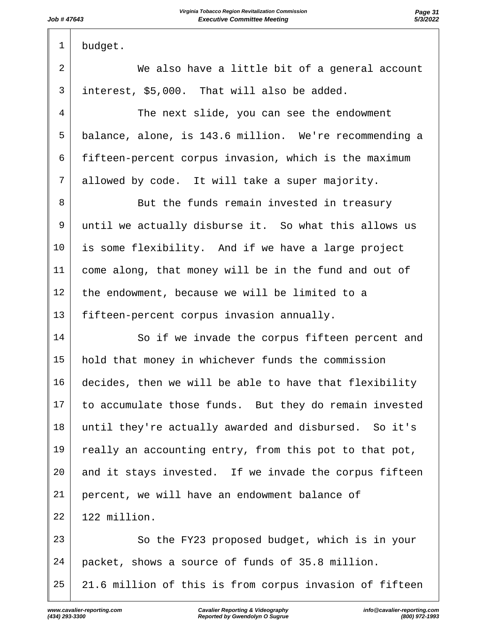budget. 2 We also have a little bit of a general account interest, \$5,000. That will also be added. 4 The next slide, you can see the endowment balance, alone, is 143.6 million. We're recommending a fifteen-percent corpus invasion, which is the maximum 7 allowed by code. It will take a super majority. 8 But the funds remain invested in treasury until we actually disburse it. So what this allows us is some flexibility. And if we have a large project come along, that money will be in the fund and out of the endowment, because we will be limited to a fifteen-percent corpus invasion annually.  $\vert$  So if we invade the corpus fifteen percent and hold that money in whichever funds the commission decides, then we will be able to have that flexibility to accumulate those funds. But they do remain invested until they're actually awarded and disbursed. So it's 19 really an accounting entry, from this pot to that pot, and it stays invested. If we invade the corpus fifteen percent, we will have an endowment balance of 122 million. 23 So the FY23 proposed budget, which is in your packet, shows a source of funds of 35.8 million. 21.6 million of this is from corpus invasion of fifteen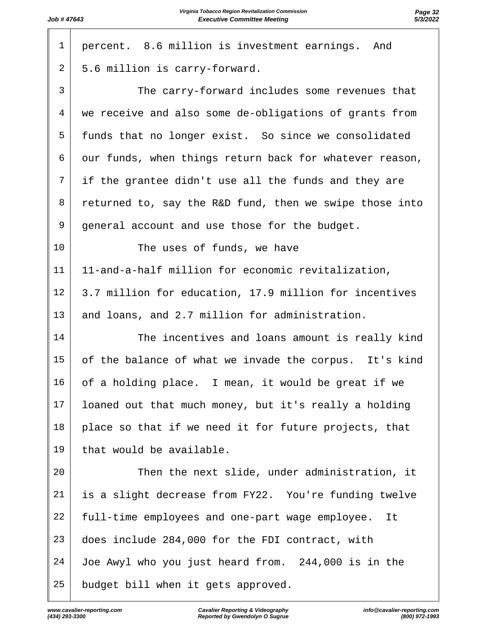| $\mathbf{1}$   | percent. 8.6 million is investment earnings. And        |
|----------------|---------------------------------------------------------|
| $\overline{2}$ | 5.6 million is carry-forward.                           |
| 3              | The carry-forward includes some revenues that           |
| $\overline{4}$ | we receive and also some de-obligations of grants from  |
| 5              | funds that no longer exist. So since we consolidated    |
| 6              | our funds, when things return back for whatever reason, |
| 7              | if the grantee didn't use all the funds and they are    |
| 8              | returned to, say the R&D fund, then we swipe those into |
| 9              | general account and use those for the budget.           |
| 10             | The uses of funds, we have                              |
| 11             | 11-and-a-half million for economic revitalization,      |
| 12             | 3.7 million for education, 17.9 million for incentives  |
| 13             | and loans, and 2.7 million for administration.          |
| 14             | The incentives and loans amount is really kind          |
| 15             | of the balance of what we invade the corpus. It's kind  |
| 16             | of a holding place. I mean, it would be great if we     |
| 17             | loaned out that much money, but it's really a holding   |
| 18             | place so that if we need it for future projects, that   |
| 19             | that would be available.                                |
| 20             | Then the next slide, under administration, it           |
| 21             | is a slight decrease from FY22. You're funding twelve   |
| 22             | full-time employees and one-part wage employee. It      |
| 23             | does include 284,000 for the FDI contract, with         |
| 24             | Joe Awyl who you just heard from. 244,000 is in the     |
| 25             | budget bill when it gets approved.                      |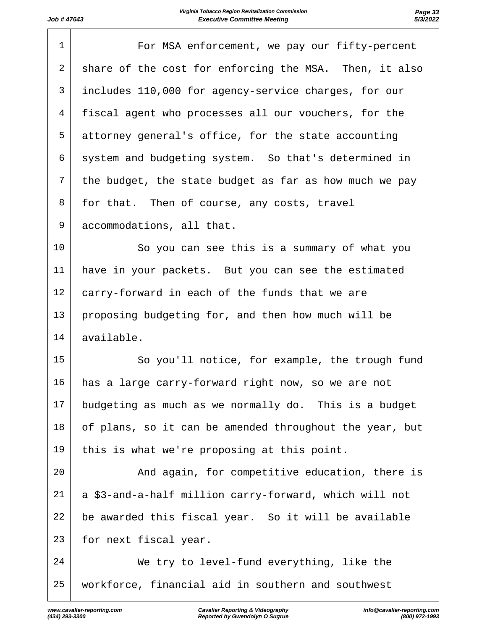| $\mathbf 1$    | For MSA enforcement, we pay our fifty-percent           |
|----------------|---------------------------------------------------------|
| $\overline{2}$ | share of the cost for enforcing the MSA. Then, it also  |
| 3              | includes 110,000 for agency-service charges, for our    |
| 4              | fiscal agent who processes all our vouchers, for the    |
| 5              | attorney general's office, for the state accounting     |
| 6              | system and budgeting system. So that's determined in    |
| 7              | the budget, the state budget as far as how much we pay  |
| 8              | for that. Then of course, any costs, travel             |
| 9              | accommodations, all that.                               |
| 10             | So you can see this is a summary of what you            |
| 11             | have in your packets. But you can see the estimated     |
| 12             | carry-forward in each of the funds that we are          |
| 13             | proposing budgeting for, and then how much will be      |
| 14             | available.                                              |
| 15             | So you'll notice, for example, the trough fund          |
| 16             | has a large carry-forward right now, so we are not      |
| 17             | budgeting as much as we normally do. This is a budget   |
| 18             | of plans, so it can be amended throughout the year, but |
| 19             | this is what we're proposing at this point.             |
| 20             | And again, for competitive education, there is          |
| 21             | a \$3-and-a-half million carry-forward, which will not  |
| 22             | be awarded this fiscal year. So it will be available    |
| 23             | for next fiscal year.                                   |
| 24             | We try to level-fund everything, like the               |
| 25             | workforce, financial aid in southern and southwest      |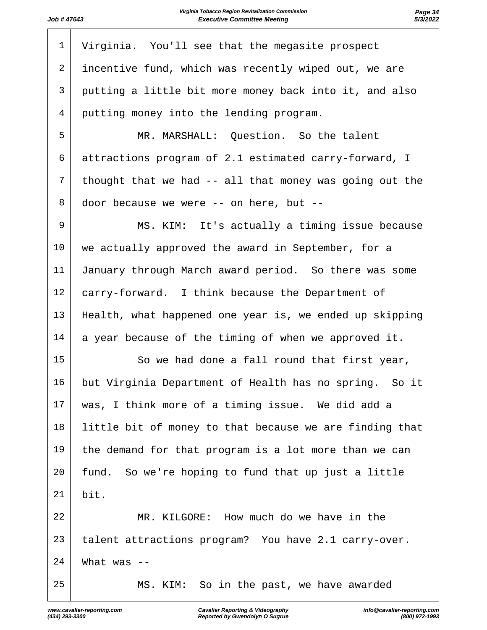| $\mathbf 1$ | Virginia. You'll see that the megasite prospect           |
|-------------|-----------------------------------------------------------|
| 2           | incentive fund, which was recently wiped out, we are      |
| 3           | putting a little bit more money back into it, and also    |
| 4           | putting money into the lending program.                   |
| 5           | MR. MARSHALL: Question. So the talent                     |
| 6           | attractions program of 2.1 estimated carry-forward, I     |
| 7           | thought that we had -- all that money was going out the   |
| 8           | door because we were -- on here, but --                   |
| 9           | MS. KIM: It's actually a timing issue because             |
| 10          | we actually approved the award in September, for a        |
| 11          | January through March award period. So there was some     |
| 12          | carry-forward. I think because the Department of          |
| 13          | Health, what happened one year is, we ended up skipping   |
| 14          | a year because of the timing of when we approved it.      |
| 15          | So we had done a fall round that first year,              |
| 16          | but Virginia Department of Health has no spring.<br>So it |
| 17          | was, I think more of a timing issue. We did add a         |
| 18          | little bit of money to that because we are finding that   |
| 19          | the demand for that program is a lot more than we can     |
| 20          | fund. So we're hoping to fund that up just a little       |
| 21          | bit.                                                      |
| 22          | MR. KILGORE: How much do we have in the                   |
| 23          | talent attractions program? You have 2.1 carry-over.      |
| 24          | What was $-$                                              |
| 25          | MS. KIM: So in the past, we have awarded                  |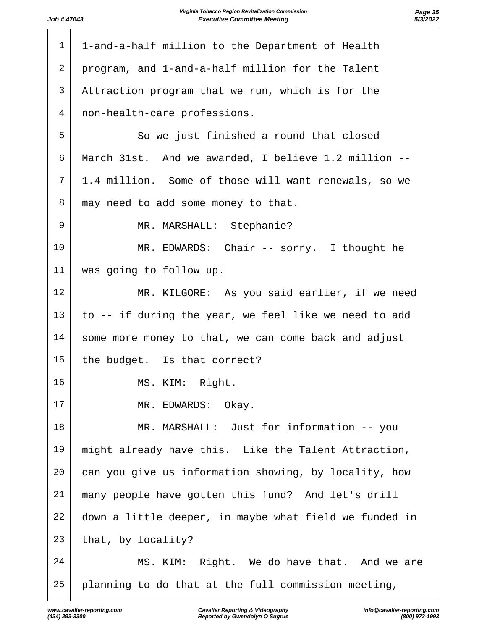| $\mathbf{1}$ | 1-and-a-half million to the Department of Health       |
|--------------|--------------------------------------------------------|
| 2            | program, and 1-and-a-half million for the Talent       |
| 3            | Attraction program that we run, which is for the       |
| 4            | non-health-care professions.                           |
| 5            | So we just finished a round that closed                |
| 6            | March 31st. And we awarded, I believe 1.2 million --   |
| 7            | 1.4 million. Some of those will want renewals, so we   |
| 8            | may need to add some money to that.                    |
| 9            | MR. MARSHALL: Stephanie?                               |
| 10           | MR. EDWARDS: Chair -- sorry. I thought he              |
| 11           | was going to follow up.                                |
| 12           | MR. KILGORE: As you said earlier, if we need           |
| 13           | to -- if during the year, we feel like we need to add  |
| 14           | some more money to that, we can come back and adjust   |
| 15           | the budget. Is that correct?                           |
| 16           | MS. KIM: Right.                                        |
| 17           | MR. EDWARDS: Okay.                                     |
| 18           | MR. MARSHALL: Just for information -- you              |
| 19           | might already have this. Like the Talent Attraction,   |
| 20           | can you give us information showing, by locality, how  |
| 21           | many people have gotten this fund? And let's drill     |
| 22           | down a little deeper, in maybe what field we funded in |
| 23           | that, by locality?                                     |
| 24           | MS. KIM: Right. We do have that. And we are            |
| 25           | planning to do that at the full commission meeting,    |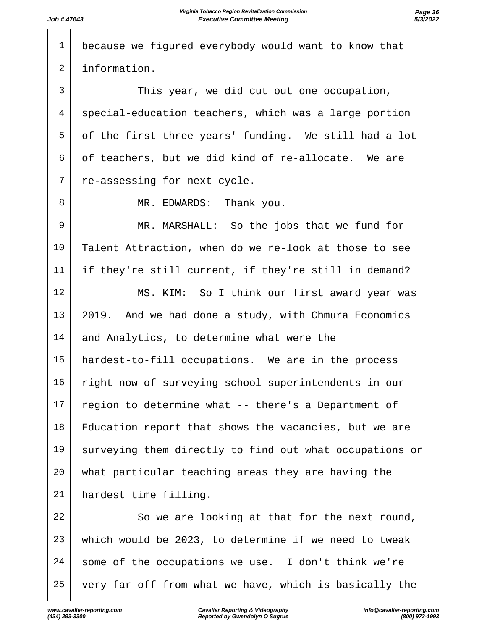| $\mathbf 1$    | because we figured everybody would want to know that    |
|----------------|---------------------------------------------------------|
| $\overline{a}$ | information.                                            |
| 3              | This year, we did cut out one occupation,               |
| 4              | special-education teachers, which was a large portion   |
| 5              | of the first three years' funding. We still had a lot   |
| 6              | of teachers, but we did kind of re-allocate. We are     |
| 7              | re-assessing for next cycle.                            |
| 8              | MR. EDWARDS: Thank you.                                 |
| 9              | MR. MARSHALL: So the jobs that we fund for              |
| 10             | Talent Attraction, when do we re-look at those to see   |
| 11             | if they're still current, if they're still in demand?   |
| 12             | MS. KIM: So I think our first award year was            |
| 13             | 2019. And we had done a study, with Chmura Economics    |
| 14             | and Analytics, to determine what were the               |
| 15             | hardest-to-fill occupations. We are in the process      |
| 16             | right now of surveying school superintendents in our    |
| 17             | region to determine what -- there's a Department of     |
| 18             | Education report that shows the vacancies, but we are   |
| 19             | surveying them directly to find out what occupations or |
| 20             | what particular teaching areas they are having the      |
| 21             | hardest time filling.                                   |
| 22             | So we are looking at that for the next round,           |
| 23             | which would be 2023, to determine if we need to tweak   |
| 24             | some of the occupations we use. I don't think we're     |
| 25             | very far off from what we have, which is basically the  |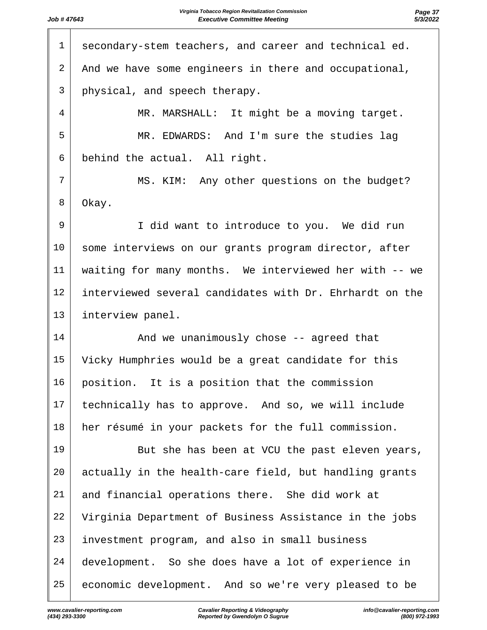| $\mathbf 1$ | secondary-stem teachers, and career and technical ed.   |
|-------------|---------------------------------------------------------|
| 2           | And we have some engineers in there and occupational,   |
| 3           | physical, and speech therapy.                           |
| 4           | MR. MARSHALL: It might be a moving target.              |
| 5           | MR. EDWARDS: And I'm sure the studies lag               |
| 6           | behind the actual. All right.                           |
| 7           | MS. KIM: Any other questions on the budget?             |
| 8           | Okay.                                                   |
| 9           | I did want to introduce to you. We did run              |
| 10          | some interviews on our grants program director, after   |
| 11          | waiting for many months. We interviewed her with -- we  |
| 12          | interviewed several candidates with Dr. Ehrhardt on the |
| 13          | interview panel.                                        |
| 14          | And we unanimously chose -- agreed that                 |
| 15          | Vicky Humphries would be a great candidate for this     |
| 16          | position. It is a position that the commission          |
| 17          | technically has to approve. And so, we will include     |
| 18          | her résumé in your packets for the full commission.     |
| 19          | But she has been at VCU the past eleven years,          |
| 20          | actually in the health-care field, but handling grants  |
| 21          | and financial operations there. She did work at         |
| 22          | Virginia Department of Business Assistance in the jobs  |
| 23          | investment program, and also in small business          |
| 24          | development. So she does have a lot of experience in    |
| 25          | economic development. And so we're very pleased to be   |
|             |                                                         |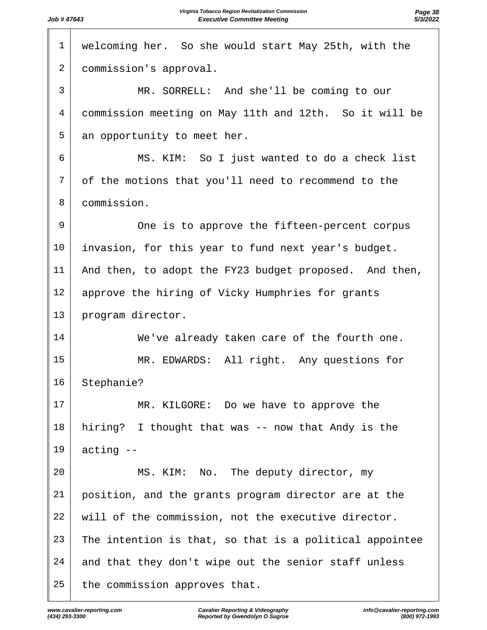| 1<br>welcoming her. So she would start May 25th, with the<br>2<br>commission's approval.<br>3<br>MR. SORRELL: And she'll be coming to our<br>commission meeting on May 11th and 12th. So it will be<br>4<br>5<br>an opportunity to meet her.<br>6<br>MS. KIM: So I just wanted to do a check list<br>7<br>of the motions that you'll need to recommend to the<br>commission.<br>8<br>9<br>One is to approve the fifteen-percent corpus<br>10<br>invasion, for this year to fund next year's budget.<br>11<br>And then, to adopt the FY23 budget proposed. And then,<br>12<br>approve the hiring of Vicky Humphries for grants<br>13<br>program director.<br>14<br>We've already taken care of the fourth one.<br>15<br>MR. EDWARDS: All right. Any questions for<br>16<br>Stephanie?<br>17<br>MR. KILGORE: Do we have to approve the<br>18<br>hiring? I thought that was -- now that Andy is the<br>19<br>acting --<br>20<br>MS. KIM: No. The deputy director, my<br>21<br>position, and the grants program director are at the<br>22<br>will of the commission, not the executive director.<br>23<br>The intention is that, so that is a political appointee<br>24<br>and that they don't wipe out the senior staff unless<br>25<br>the commission approves that. |  |
|--------------------------------------------------------------------------------------------------------------------------------------------------------------------------------------------------------------------------------------------------------------------------------------------------------------------------------------------------------------------------------------------------------------------------------------------------------------------------------------------------------------------------------------------------------------------------------------------------------------------------------------------------------------------------------------------------------------------------------------------------------------------------------------------------------------------------------------------------------------------------------------------------------------------------------------------------------------------------------------------------------------------------------------------------------------------------------------------------------------------------------------------------------------------------------------------------------------------------------------------------------------------|--|
|                                                                                                                                                                                                                                                                                                                                                                                                                                                                                                                                                                                                                                                                                                                                                                                                                                                                                                                                                                                                                                                                                                                                                                                                                                                                    |  |
|                                                                                                                                                                                                                                                                                                                                                                                                                                                                                                                                                                                                                                                                                                                                                                                                                                                                                                                                                                                                                                                                                                                                                                                                                                                                    |  |
|                                                                                                                                                                                                                                                                                                                                                                                                                                                                                                                                                                                                                                                                                                                                                                                                                                                                                                                                                                                                                                                                                                                                                                                                                                                                    |  |
|                                                                                                                                                                                                                                                                                                                                                                                                                                                                                                                                                                                                                                                                                                                                                                                                                                                                                                                                                                                                                                                                                                                                                                                                                                                                    |  |
|                                                                                                                                                                                                                                                                                                                                                                                                                                                                                                                                                                                                                                                                                                                                                                                                                                                                                                                                                                                                                                                                                                                                                                                                                                                                    |  |
|                                                                                                                                                                                                                                                                                                                                                                                                                                                                                                                                                                                                                                                                                                                                                                                                                                                                                                                                                                                                                                                                                                                                                                                                                                                                    |  |
|                                                                                                                                                                                                                                                                                                                                                                                                                                                                                                                                                                                                                                                                                                                                                                                                                                                                                                                                                                                                                                                                                                                                                                                                                                                                    |  |
|                                                                                                                                                                                                                                                                                                                                                                                                                                                                                                                                                                                                                                                                                                                                                                                                                                                                                                                                                                                                                                                                                                                                                                                                                                                                    |  |
|                                                                                                                                                                                                                                                                                                                                                                                                                                                                                                                                                                                                                                                                                                                                                                                                                                                                                                                                                                                                                                                                                                                                                                                                                                                                    |  |
|                                                                                                                                                                                                                                                                                                                                                                                                                                                                                                                                                                                                                                                                                                                                                                                                                                                                                                                                                                                                                                                                                                                                                                                                                                                                    |  |
|                                                                                                                                                                                                                                                                                                                                                                                                                                                                                                                                                                                                                                                                                                                                                                                                                                                                                                                                                                                                                                                                                                                                                                                                                                                                    |  |
|                                                                                                                                                                                                                                                                                                                                                                                                                                                                                                                                                                                                                                                                                                                                                                                                                                                                                                                                                                                                                                                                                                                                                                                                                                                                    |  |
|                                                                                                                                                                                                                                                                                                                                                                                                                                                                                                                                                                                                                                                                                                                                                                                                                                                                                                                                                                                                                                                                                                                                                                                                                                                                    |  |
|                                                                                                                                                                                                                                                                                                                                                                                                                                                                                                                                                                                                                                                                                                                                                                                                                                                                                                                                                                                                                                                                                                                                                                                                                                                                    |  |
|                                                                                                                                                                                                                                                                                                                                                                                                                                                                                                                                                                                                                                                                                                                                                                                                                                                                                                                                                                                                                                                                                                                                                                                                                                                                    |  |
|                                                                                                                                                                                                                                                                                                                                                                                                                                                                                                                                                                                                                                                                                                                                                                                                                                                                                                                                                                                                                                                                                                                                                                                                                                                                    |  |
|                                                                                                                                                                                                                                                                                                                                                                                                                                                                                                                                                                                                                                                                                                                                                                                                                                                                                                                                                                                                                                                                                                                                                                                                                                                                    |  |
|                                                                                                                                                                                                                                                                                                                                                                                                                                                                                                                                                                                                                                                                                                                                                                                                                                                                                                                                                                                                                                                                                                                                                                                                                                                                    |  |
|                                                                                                                                                                                                                                                                                                                                                                                                                                                                                                                                                                                                                                                                                                                                                                                                                                                                                                                                                                                                                                                                                                                                                                                                                                                                    |  |
|                                                                                                                                                                                                                                                                                                                                                                                                                                                                                                                                                                                                                                                                                                                                                                                                                                                                                                                                                                                                                                                                                                                                                                                                                                                                    |  |
|                                                                                                                                                                                                                                                                                                                                                                                                                                                                                                                                                                                                                                                                                                                                                                                                                                                                                                                                                                                                                                                                                                                                                                                                                                                                    |  |
|                                                                                                                                                                                                                                                                                                                                                                                                                                                                                                                                                                                                                                                                                                                                                                                                                                                                                                                                                                                                                                                                                                                                                                                                                                                                    |  |
|                                                                                                                                                                                                                                                                                                                                                                                                                                                                                                                                                                                                                                                                                                                                                                                                                                                                                                                                                                                                                                                                                                                                                                                                                                                                    |  |
|                                                                                                                                                                                                                                                                                                                                                                                                                                                                                                                                                                                                                                                                                                                                                                                                                                                                                                                                                                                                                                                                                                                                                                                                                                                                    |  |
|                                                                                                                                                                                                                                                                                                                                                                                                                                                                                                                                                                                                                                                                                                                                                                                                                                                                                                                                                                                                                                                                                                                                                                                                                                                                    |  |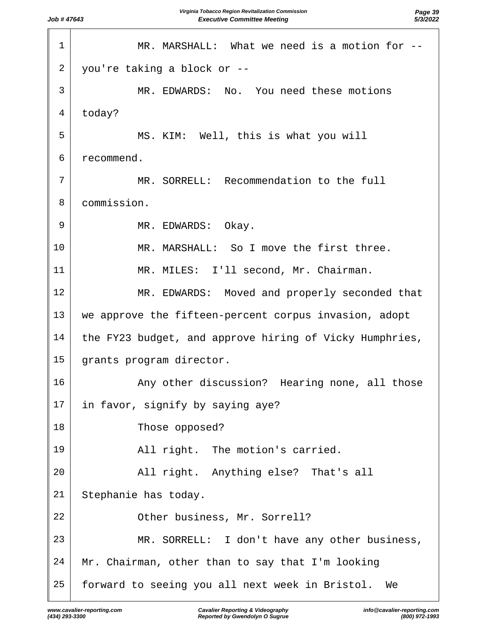| $\mathbf 1$ | MR. MARSHALL: What we need is a motion for --           |
|-------------|---------------------------------------------------------|
| 2           | you're taking a block or --                             |
| 3           | MR. EDWARDS: No. You need these motions                 |
| 4           | today?                                                  |
| 5           | MS. KIM: Well, this is what you will                    |
| 6           | recommend.                                              |
| 7           | MR. SORRELL: Recommendation to the full                 |
| 8           | commission.                                             |
| 9           | MR. EDWARDS: Okay.                                      |
| 10          | MR. MARSHALL: So I move the first three.                |
| 11          | MR. MILES: I'll second, Mr. Chairman.                   |
| 12          | MR. EDWARDS: Moved and properly seconded that           |
| 13          | we approve the fifteen-percent corpus invasion, adopt   |
| 14          | the FY23 budget, and approve hiring of Vicky Humphries, |
| 15          | grants program director.                                |
| 16          | Any other discussion? Hearing none, all those           |
| 17          | in favor, signify by saying aye?                        |
| 18          | Those opposed?                                          |
| 19          | All right. The motion's carried.                        |
| 20          | All right. Anything else? That's all                    |
| 21          | Stephanie has today.                                    |
| 22          | Other business, Mr. Sorrell?                            |
| 23          | MR. SORRELL: I don't have any other business,           |
| 24          | Mr. Chairman, other than to say that I'm looking        |
| 25          | forward to seeing you all next week in Bristol. We      |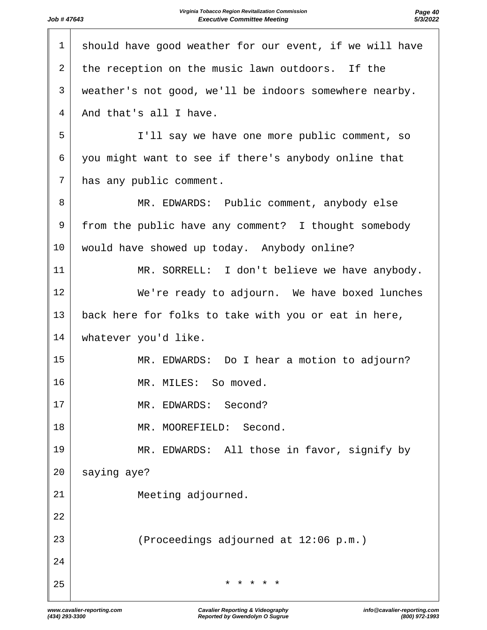| $\mathbf 1$ | should have good weather for our event, if we will have |
|-------------|---------------------------------------------------------|
| 2           | the reception on the music lawn outdoors. If the        |
| 3           | weather's not good, we'll be indoors somewhere nearby.  |
| 4           | And that's all I have.                                  |
| 5           | I'll say we have one more public comment, so            |
| 6           | you might want to see if there's anybody online that    |
| 7           | has any public comment.                                 |
| 8           | MR. EDWARDS: Public comment, anybody else               |
| 9           | from the public have any comment? I thought somebody    |
| 10          | would have showed up today. Anybody online?             |
| 11          | MR. SORRELL: I don't believe we have anybody.           |
| 12          | We're ready to adjourn. We have boxed lunches           |
| 13          | back here for folks to take with you or eat in here,    |
| 14          | whatever you'd like.                                    |
| 15          | MR. EDWARDS: Do I hear a motion to adjourn?             |
| 16          | MR. MILES: So moved.                                    |
| 17          | MR. EDWARDS: Second?                                    |
| 18          | MR. MOOREFIELD: Second.                                 |
| 19          | MR. EDWARDS: All those in favor, signify by             |
| 20          | saying aye?                                             |
| 21          | Meeting adjourned.                                      |
| 22          |                                                         |
| 23          | (Proceedings adjourned at 12:06 p.m.)                   |
| 24          |                                                         |
| 25          | $\star$<br>$\star$<br>$\star$                           |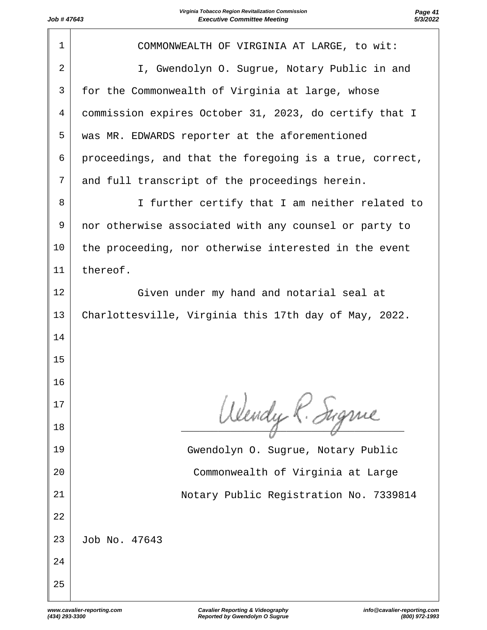| $\mathbf{1}$   | COMMONWEALTH OF VIRGINIA AT LARGE, to wit:              |
|----------------|---------------------------------------------------------|
| $\overline{2}$ | I, Gwendolyn O. Sugrue, Notary Public in and            |
| 3              | for the Commonwealth of Virginia at large, whose        |
| 4              | commission expires October 31, 2023, do certify that I  |
| 5              | was MR. EDWARDS reporter at the aforementioned          |
| 6              | proceedings, and that the foregoing is a true, correct, |
| 7              | and full transcript of the proceedings herein.          |
| 8              | I further certify that I am neither related to          |
| 9              | nor otherwise associated with any counsel or party to   |
| 10             | the proceeding, nor otherwise interested in the event   |
| 11             | thereof.                                                |
| 12             | Given under my hand and notarial seal at                |
| 13             | Charlottesville, Virginia this 17th day of May, 2022.   |
| 14             |                                                         |
| 15             |                                                         |
| 16             |                                                         |
| 17             | Wendy K. Sugnie                                         |
| 18             |                                                         |
| 19             | Gwendolyn O. Sugrue, Notary Public                      |
| 20             | Commonwealth of Virginia at Large                       |
| 21             | Notary Public Registration No. 7339814                  |
| 22             |                                                         |
| 23             | Job No. 47643                                           |
| 24             |                                                         |
| 25             |                                                         |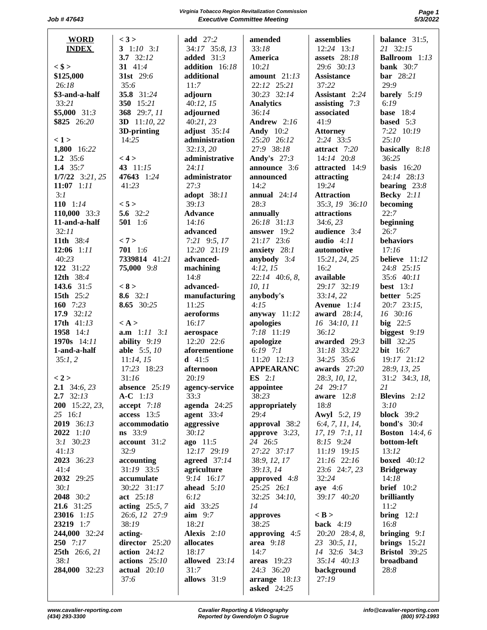**Virginia Tobacco Region Revitalization Commission Page 1 Job #47643 Executive Committee Meeting** 

| <b>WORD</b>         | < 3 >               | add 27:2         | amended            | assemblies        | balance $31:5$ ,      |
|---------------------|---------------------|------------------|--------------------|-------------------|-----------------------|
| <b>INDEX</b>        | 3 $1:10$ 3:1        | 34:17 35:8, 13   | 33:18              | $12:24$ 13:1      | 21 32:15              |
|                     | 3.7 $32:12$         | added $31:3$     | America            | assets $28:18$    | Ballroom 1:13         |
|                     | 31 41:4             | addition 16:18   | 10:21              | 29:6 30:13        | bank $30:7$           |
| $<$ \$ >            |                     |                  |                    |                   |                       |
| \$125,000           | 31st 29:6           | additional       | amount $21:13$     | <b>Assistance</b> | bar 28:21             |
| 26:18               | 35:6                | 11:7             | 22:12 25:21        | 37:22             | 29:9                  |
| \$3-and-a-half      | 35.8 31:24          | adjourn          | 30:23 32:14        | Assistant 2:24    | barely 5:19           |
| 33:21               | 350 15:21           | 40:12, 15        | <b>Analytics</b>   | assisting $7:3$   | 6:19                  |
| $$5,000$ 31:3       | 368 29:7, 11        | adjourned        | 36:14              | associated        | <b>base</b> 18:4      |
| \$825 26:20         | 3D 11:10, 22        | 40:21,23         | Andrew 2:16        | 41:9              | based $5:3$           |
|                     | 3D-printing         | adjust $35:14$   | <b>Andy</b> 10:2   | <b>Attorney</b>   | 7:22 10:19            |
| < 1 >               | 14:25               | administration   | 25:20 26:12        | 2:24 33:5         | 25:10                 |
| 1,800 16:22         |                     | 32:13,20         | 27:9 38:18         | attract 7:20      | basically 8:18        |
| 1.2 $35:6$          | < 4 >               | administrative   | <b>Andy's</b> 27:3 | 14:14 20:8        | 36:25                 |
| 1.4 $35:7$          | 43 11:15            | 24:11            | announce 3:6       | attracted 14:9    | basis $16:20$         |
| $1/7/22$ 3:21, 25   | 47643 1:24          | administrator    | announced          | attracting        | 24:14 28:13           |
| $11:07$ 1:11        | 41:23               | 27:3             | 14:2               | 19:24             | bearing $23:8$        |
| 3:1                 |                     | adopt 38:11      | annual $24:14$     | <b>Attraction</b> | <b>Becky</b> 2:11     |
| 110 $1:14$          | < 5 >               | 39:13            | 28:3               | 35:3, 19 36:10    | becoming              |
|                     | 5.6 32:2            |                  |                    |                   | 22:7                  |
| 110,000 33:3        |                     | <b>Advance</b>   | annually           | attractions       |                       |
| 11-and-a-half       | 501 1:6             | 14:16            | 26:18 31:13        | 34:6, 23          | beginning             |
| 32:11               |                     | advanced         | answer 19:2        | audience 3:4      | 26:7                  |
| 11th 38:4           | < 7 >               | $7:21$ 9:5, 17   | $21:17$ 23:6       | audio $4:11$      | behaviors             |
| $12:06$ 1:11        | 701 1:6             | 12:20 21:19      | anxiety 28:1       | automotive        | 17:16                 |
| 40:23               | 7339814 41:21       | advanced-        | anybody 3:4        | 15:21, 24, 25     | believe 11:12         |
| 122 31:22           | 75,000 9:8          | machining        | 4:12, 15           | 16:2              | 24:8 25:15            |
| 12th 38:4           |                     | 14:8             | $22:14$ 40:6, 8,   | available         | 35:6 40:11            |
| 143.6 31:5          | < 8 >               | advanced-        | 10, 11             | 29:17 32:19       | best $13:1$           |
| 15th 25:2           | 8.6 $32:1$          | manufacturing    | anybody's          | 33:14, 22         | better 5:25           |
| 160 7:23            | 8.65 30:25          | 11:25            | 4:15               | Avenue 1:14       | 20:7 23:15,           |
| 17.9 32:12          |                     | aeroforms        | anyway $11:12$     | award 28:14,      | 16 30:16              |
| 17th 41:13          | $\langle A \rangle$ | 16:17            | apologies          | 16 34:10, 11      | big $22:5$            |
| 1958 14:1           | $a.m$ 1:11 3:1      | aerospace        | 7:18 11:19         | 36:12             | biggest 9:19          |
| 1970s $14:11$       | ability 9:19        | 12:20 22:6       | apologize          | awarded 29:3      | <b>bill</b> 32:25     |
| 1-and-a-half        | able 5:5, 10        | aforementione    | 6:19 $7:1$         | 31:18 33:22       | <b>bit</b> 16:7       |
| 35:1,2              | 11:14, 15           | <b>d</b> $41:5$  | 11:20 12:13        | 34:25 35:6        | 19:17 21:12           |
|                     | 17:23 18:23         | afternoon        | <b>APPEARANC</b>   | awards 27:20      | 28:9, 13, 25          |
| < 2 >               |                     |                  |                    |                   |                       |
|                     | 31:16               | 20:19            | ES $2:1$           | 28:3, 10, 12,     | 31:2 34:3, 18,        |
| <b>2.1</b> 34:6, 23 | absence $25:19$     | agency-service   | appointee          | 24 29:17          | 21                    |
| $2.7 \quad 32:13$   | $A-C 1:13$          | 33:3             | 38:23              | aware $12:8$      | Blevins 2:12          |
| 200 15:22, 23,      | accept 7:18         | agenda $24:25$   | appropriately      | 18:8              | 3:10                  |
| 25 16:1             | $access$ 13:5       | agent $33:4$     | 29:4               | Awyl 5:2, 19      | <b>block</b> 39:2     |
| 2019 36:13          | accommodatio        | aggressive       | approval 38:2      | 6:4, 7, 11, 14,   | <b>bond's</b> $30:4$  |
| 2022 1:10           | ns 33:9             | 30:12            | approve $3:23$ ,   | 17, 19 7:1, 11    | <b>Boston</b> 14:4, 6 |
| $3:1$ $30:23$       | account 31:2        | ago 11:5         | 24 26:5            | 8:15 9:24         | bottom-left           |
| 41:13               | 32:9                | 12:17 29:19      | 27:22 37:17        | 11:19 19:15       | 13:12                 |
| 2023 36:23          | accounting          | agreed $37:14$   | 38:9, 12, 17       | 21:16 22:16       | <b>boxed</b> 40:12    |
| 41:4                | 31:19 33:5          | agriculture      | 39:13, 14          | 23:6 24:7, 23     | <b>Bridgeway</b>      |
| 2032 29:25          | accumulate          | 9:14 16:17       | approved $4:8$     | 32:24             | 14:18                 |
| 30:1                | 30:22 31:17         | ahead $5:10$     | 25:25 26:1         | aye 4:6           | <b>brief</b> 10:2     |
| 2048 30:2           | act 25:18           | 6:12             | 32:25 34:10,       | 39:17 40:20       | brilliantly           |
| 21.6 31:25          | acting $25:5, 7$    | aid 33:25        | 14                 |                   | 11:2                  |
| 23016 1:15          | 26:6, 12 27:9       | $\text{aim}$ 9:7 |                    | $<$ B $>$         |                       |
|                     |                     |                  | approves           |                   | <b>bring</b> $12:1$   |
| 23219 1:7           | 38:19               | 18:21            | 38:25              | back $4:19$       | 16:8                  |
| 244,000 32:24       | acting-             | Alexis 2:10      | approving 4:5      | 20:20 28:4, 8,    | bringing $9:1$        |
| $250$ 7:17          | director 25:20      | allocates        | area $9:18$        | 23 30:5, 11,      | brings $15:21$        |
| 25th 26:6, 21       | $action \t24:12$    | 18:17            | 14:7               | 14 32:6 34:3      | <b>Bristol</b> 39:25  |
| 38:1                | $actions$ 25:10     | allowed 23:14    | areas $19:23$      | 35:14 40:13       | broadband             |
| 284,000 32:23       | actual 20:10        | 31:7             | 24:3 36:20         | background        | 28:8                  |
|                     | 37:6                | allows 31:9      | arrange $18:13$    | 27:19             |                       |
|                     |                     |                  | <b>asked</b> 24:25 |                   |                       |
|                     |                     |                  |                    |                   |                       |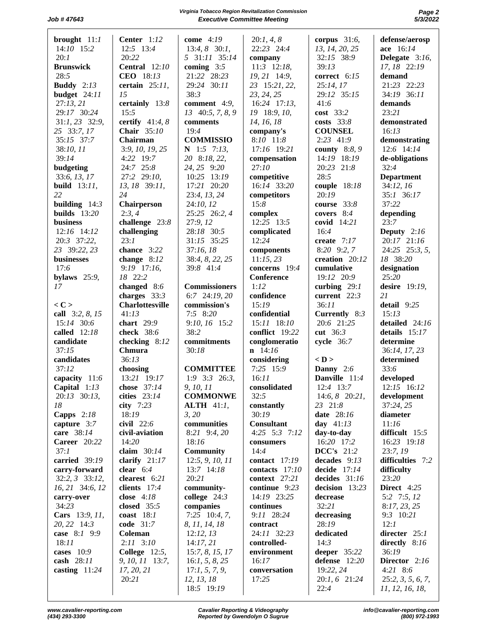# **Virginia Tobacco Region Revitalization Commission Page 2 Job #47643 Executive Committee Meeting**

| brought $11:1$      | Center $1:12$          | come $4:19$          | 20:1, 4, 8      | corpus $31:6$ ,   | defense/aerosp    |
|---------------------|------------------------|----------------------|-----------------|-------------------|-------------------|
|                     |                        |                      |                 |                   |                   |
| 14:10 15:2          | 12:5 13:4              | $13:4, 8$ 30:1,      | 22:23 24:4      | 13, 14, 20, 25    | ace 16:14         |
| 20:1                | 20:22                  | 5 31:11 35:14        | company         | 32:15 38:9        | Delegate 3:16,    |
| <b>Brunswick</b>    | <b>Central</b> 12:10   | coming $3:5$         | $11:3$ 12:18,   | 39:13             | 17, 18 22:19      |
| 28:5                | CEO 18:13              | 21:22 28:23          | 19, 21 14:9,    | correct 6:15      | demand            |
|                     |                        |                      |                 |                   |                   |
| <b>Buddy</b> $2:13$ | certain $25:11$ ,      | 29:24 30:11          | 23 15:21, 22,   | 25:14, 17         | 21:23 22:23       |
| budget 24:11        | 15                     | 38:3                 | 23, 24, 25      | 29:12 35:15       | 34:19 36:11       |
| 27:13,21            | certainly 13:8         | comment 4:9,         | 16:24 17:13,    | 41:6              | demands           |
| 29:17 30:24         | 15:5                   | 13 40:5, 7, 8, 9     | 19 18:9, 10,    | cost 33:2         | 23:21             |
|                     |                        |                      |                 |                   |                   |
| 31:1, 23 32:9,      | certify $41:4, 8$      | comments             | 14, 16, 18      | costs $33:8$      | demonstrated      |
| 25 33:7, 17         | Chair 35:10            | 19:4                 | company's       | <b>COUNSEL</b>    | 16:13             |
| 35:15 37:7          | Chairman               | <b>COMMISSIO</b>     | 8:10 11:8       | 2:23 41:9         | demonstrating     |
| 38:10, 11           | 3:9, 10, 19, 25        | $N$ 1:5 7:13,        | 17:16 19:21     | county 8:8, 9     | 12:6 14:14        |
| 39:14               | 4:22 19:7              | 20 8:18, 22,         |                 | 14:19 18:19       |                   |
|                     |                        |                      | compensation    |                   | de-obligations    |
| budgeting           | 24:7 25:8              | 24, 25 9:20          | 27:10           | 20:23 21:8        | 32:4              |
| 33:6, 13, 17        | 27:2 29:10,            | 10:25 13:19          | competitive     | 28:5              | <b>Department</b> |
| build $13:11$ ,     | 13, 18 39:11,          | 17:21 20:20          | 16:14 33:20     | couple 18:18      | 34:12, 16         |
| 22                  | 24                     |                      |                 | 20:19             | 35:1 36:17        |
|                     |                        | 23:4, 13, 24         | competitors     |                   |                   |
| building $14:3$     | Chairperson            | 24:10, 12            | 15:8            | course 33:8       | 37:22             |
| builds $13:20$      | 2:3,4                  | 25:25 26:2, 4        | complex         | covers 8:4        | depending         |
| <b>business</b>     | challenge 23:8         | 27:9, 12             | 12:25 13:5      | covid 14:21       | 23:7              |
| $12:16$ 14:12       | challenging            | 28:18 30:5           | complicated     | 16:4              | Deputy $2:16$     |
|                     |                        |                      |                 |                   |                   |
| 20:3 37:22,         | 23:1                   | 31:15 35:25          | 12:24           | create 7:17       | 20:17 21:16       |
| 23 39:22, 23        | chance 3:22            | 37:16, 18            | components      | 8:20 9:2, 7       | 24:25 25:3, 5,    |
| businesses          | change 8:12            | 38:4, 8, 22, 25      | 11:15,23        | creation 20:12    | 18 38:20          |
| 17:6                | 9:19 17:16,            | 39:8 41:4            | concerns 19:4   | cumulative        | designation       |
|                     | 18 22:2                |                      |                 |                   |                   |
| bylaws $25:9$ ,     |                        |                      | Conference      | 19:12 20:9        | 25:20             |
| 17                  | changed 8:6            | <b>Commissioners</b> | 1:12            | curbing $29:1$    | desire 19:19,     |
|                     | charges $33:3$         | 6:7 24:19, 20        | confidence      | current $22:3$    | 21                |
| $<$ C $>$           | <b>Charlottesville</b> | commission's         | 15:19           | 36:11             | detail 9:25       |
| call 3:2, 8, 15     | 41:13                  | 7:5 8:20             | confidential    | Currently 8:3     | 15:13             |
|                     |                        |                      |                 |                   |                   |
| 15:14 30:6          | chart $29:9$           | 9:10, 16 15:2        | 15:11 18:10     | 20:6 21:25        | detailed 24:16    |
| called $12:18$      | check 38:6             | 38:2                 | conflict 19:22  | cut 36:3          | details 15:17     |
| candidate           | checking $8:12$        | commitments          | conglomeratio   | cycle 36:7        | determine         |
| 37:15               | Chmura                 | 30:18                | $n \quad 14:16$ |                   | 36:14, 17, 23     |
|                     |                        |                      |                 |                   |                   |
| candidates          | 36:13                  |                      | considering     | $<$ D $>$         | determined        |
| 37:12               | choosing               | <b>COMMITTEE</b>     | 7:25 15:9       | Danny 2:6         | 33:6              |
| capacity 11:6       | 13:21 19:17            | $1:9$ 3:3 26:3,      | 16:11           | Danville 11:4     | developed         |
| Capital $1:13$      | chose 37:14            | 9, 10, 11            | consolidated    | 12:4 13:7         | 12:15 16:12       |
|                     |                        |                      |                 |                   |                   |
| 20:13 30:13,        | cities 23:14           | <b>COMMONWE</b>      | 32:5            | $14:6, 8$ 20:21,  | development       |
| 18                  | city $7:23$            | <b>ALTH</b> 41:1,    | constantly      | 23 21:8           | 37:24, 25         |
| Capps $2:18$        | 18:19                  | 3, 20                | 30:19           | <b>date</b> 28:16 | diameter          |
| capture $3:7$       | civil 22:6             | communities          | Consultant      | day $41:13$       | 11:16             |
| care 38:14          | civil-aviation         | 8:21 9:4, 20         | 4:25 5:3 7:12   | day-to-day        | difficult 15:5    |
|                     |                        |                      |                 |                   |                   |
| <b>Career</b> 20:22 | 14:20                  | 18:16                | consumers       | 16:20 17:2        | 16:23 19:18       |
| 37:1                | claim $30:14$          | <b>Community</b>     | 14:4            | <b>DCC's</b> 21:2 | 23:7, 19          |
| carried 39:19       | clarify $21:17$        | 12:5, 9, 10, 11      | contact $17:19$ | decades $9:13$    | difficulties 7:2  |
| carry-forward       | clear $6:4$            | 13:7 14:18           | contacts 17:10  | decide $17:14$    | difficulty        |
| $32:2, 3$ $33:12,$  |                        | 20:21                | context 27:21   |                   | 23:20             |
|                     | clearest $6:21$        |                      |                 | decides $31:16$   |                   |
| 16, 21 34:6, 12     | clients $17:4$         | community-           | continue 9:23   | decision $13:23$  | Direct 4:25       |
| carry-over          | close $4:18$           | college $24:3$       | 14:19 23:25     | decrease          | 5:2 7:5, 12       |
| 34:23               | closed $35:5$          | companies            | continues       | 32:21             | 8:17,23,25        |
| Cars 13:9, 11,      | coast $18:1$           | $7:25$ 10:4, 7,      | 9:11 28:24      | decreasing        | 9:3 10:21         |
|                     |                        |                      |                 |                   |                   |
| 20, 22 14:3         | code $31:7$            | 8, 11, 14, 18        | contract        | 28:19             | 12:1              |
| case 8:1 9:9        | Coleman                | 12:12, 13            | 24:11 32:23     | dedicated         | directer $25:1$   |
| 18:11               | $2:11$ $3:10$          | 14:17,21             | controlled-     | 14:3              | directly $8:16$   |
| cases $10:9$        | College $12:5$ ,       | 15:7, 8, 15, 17      | environment     | deeper 35:22      | 36:19             |
| cash 28:11          | 9, 10, 11 13:7,        |                      | 16:17           | defense $12:20$   | Director 2:16     |
|                     |                        | 16:1, 5, 8, 25       |                 |                   |                   |
| casting 11:24       | 17, 20, 21             | 17:1, 5, 7, 9,       | conversation    | 19:22, 24         | 4:21 8:6          |
|                     | 20:21                  | 12, 13, 18           | 17:25           | 20:1, 6 21:24     | 25:2, 3, 5, 6, 7, |
|                     |                        | 18:5 19:19           |                 | 22:4              | 11, 12, 16, 18,   |
|                     |                        |                      |                 |                   |                   |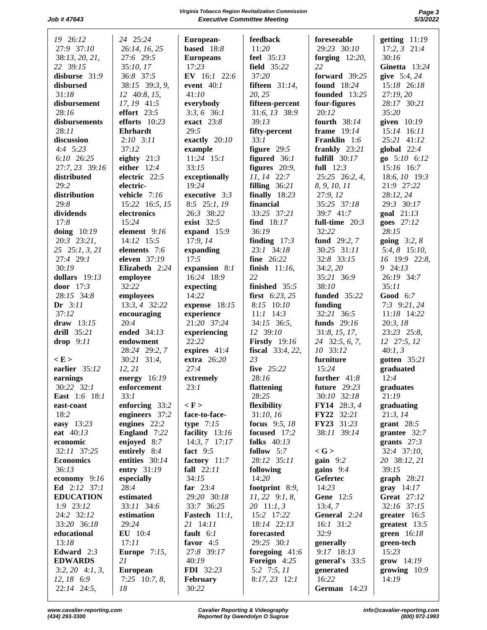# **Virginia Tobacco Region Revitalization Commission Page 3 Job #47643 Executive Committee Meeting**

| 19 26:12                               | 24 25:24            | European-           | feedback                | foreseeable       | getting $11:19$    |
|----------------------------------------|---------------------|---------------------|-------------------------|-------------------|--------------------|
| 27:9 37:10                             | 26:14, 16, 25       | based $18:8$        | 11:20                   | 29:23 30:10       | $17:2, 3$ $21:4$   |
| 38:13, 20, 21,                         | 27:6 29:5           | <b>Europeans</b>    | feel 35:13              | forging $12:20$ , | 30:16              |
|                                        |                     |                     |                         |                   |                    |
| 22 39:15                               | 35:10, 17           | 17:23               | field 35:22             | 22                | Ginetta 13:24      |
| disburse 31:9                          | 36:8 37:5           | EV 16:1 22:6        | 37:20                   | forward $39:25$   | give $5:4, 24$     |
| disbursed                              | 38:15 39:3, 9,      | event $40:1$        | <b>fifteen</b> 31:14,   | found 18:24       | 15:18 26:18        |
| 31:18                                  | 12 40:8, 15,        | 41:10               | 20, 25                  | founded 13:25     | 27:19, 20          |
| disbursement                           | 17, 19 41:5         | everybody           | fifteen-percent         | four-figures      | 28:17 30:21        |
| 28:16                                  | effort $23:5$       | $3:3,6$ 36:1        | 31:6, 13 38:9           | 20:12             | 35:20              |
| disbursements                          | efforts $10:23$     | exact $23:8$        | 39:13                   | fourth 38:14      | given $10:19$      |
| 28:11                                  | Ehrhardt            | 29:5                | fifty-percent           | frame 19:14       | 15:14 16:11        |
|                                        |                     |                     |                         |                   |                    |
| discussion                             | $2:10$ $3:11$       | exactly $20:10$     | 33:1                    | Franklin 1:6      | 25:21 41:12        |
| $4:4$ 5:23                             | 37:12               | example             | figure $29:5$           | frankly $23:21$   | global $22:4$      |
| 6:10 26:25                             | eighty $21:3$       | $11:24$ 15:1        | figured $36:1$          | fulfill $30:17$   | go 5:10 6:12       |
| 27:7, 23 39:16                         | either $12:4$       | 33:15               | figures $20:9$ ,        | full $12:3$       | 15:16 16:7         |
| distributed                            | electric 22:5       | exceptionally       | 11, 14 22:7             | 25:25 26:2, 4,    | 18:6, 10 19:3      |
| 29:2                                   | electric-           | 19:24               | filling $36:21$         | 8, 9, 10, 11      | 21:9 27:22         |
| distribution                           | vehicle 7:16        | executive 3:3       | finally $18:23$         | 27:9, 12          | 28:12, 24          |
| 29:8                                   | 15:22 16:5, 15      | $8:5$ 25:1, 19      | financial               | 35:25 37:18       | 29:3 30:17         |
|                                        |                     |                     |                         |                   |                    |
| dividends                              | electronics         | 26:3 38:22          | 33:25 37:21             | 39:7 41:7         | goal $21:13$       |
| 17:8                                   | 15:24               | exist 32:5          | find $18:17$            | full-time $20:3$  | goes 27:12         |
| doing $10:19$                          | element 9:16        | expand 15:9         | 36:19                   | 32:22             | 28:15              |
| 20:3 23:21,                            | 14:12 15:5          | 17:9, 14            | finding $17:3$          | fund 29:2, 7      | going $3:2, 8$     |
| 25 25:1, 3, 21                         | elements 7:6        | expanding           | 23:1 34:18              | 30:25 31:11       | 5:4, 8 15:10,      |
| 27:4 29:1                              | eleven 37:19        | 17:5                | fine 26:22              | 32:8 33:15        | 16 19:9 22:8,      |
| 30:19                                  | Elizabeth 2:24      | expansion 8:1       | finish $11:16$ ,        | 34:2, 20          | 9 24:13            |
| dollars $19:13$                        |                     | 16:24 18:9          | 22                      |                   | 26:19 34:7         |
|                                        | employee            |                     |                         | 35:21 36:9        |                    |
| door 17:3                              | 32:22               | expecting           | finished 35:5           | 38:10             | 35:11              |
| 28:15 34:8                             | employees           | 14:22               | first $6:23, 25$        | funded 35:22      | Good 6:7           |
| Dr $3:11$                              | 13:3, 4 32:22       | expense 18:15       | 8:15 10:10              | funding           | $7:3$ 9:21, 24     |
| 37:12                                  | encouraging         | experience          | $11:1$ 14:3             | 32:21 36:5        | 11:18 14:22        |
| draw $13:15$                           | 20:4                | 21:20 37:24         | 34:15 36:5,             | funds 29:16       | 20:3, 18           |
| drill 35:21                            | ended 34:13         | experiencing        | 12 39:10                | 31:8, 15, 17,     | 23:23 25:8,        |
| drop $9:11$                            | endowment           | 22:22               | <b>Firstly</b> 19:16    | 24 32:5, 6, 7,    | 12 27:5, 12        |
|                                        |                     | expires 41:4        | <b>fiscal</b> 33:4, 22, | 10 33:12          |                    |
|                                        | 28:24 29:2, 7       |                     |                         |                   | 40:1, 3            |
| < E >                                  | 30:21 31:4,         | extra 26:20         | 23                      | furniture         | gotten 35:21       |
| earlier 35:12                          | 12, 21              | 27:4                | five 25:22              | 15:24             | graduated          |
| earnings                               | energy $16:19$      | extremely           | 28:16                   | further $41:8$    | 12:4               |
| 30:22 32:1                             | enforcement         | 23:1                | flattening              | future 29:23      | graduates          |
| <b>East</b> 1:6 18:1                   | 33:1                |                     | 28:25                   | 30:10 32:18       | 21:19              |
| $\operatorname{\sf east\text{-}cosst}$ | enforcing 33:2      | $\langle F \rangle$ | flexibility             | FY14 28:3, 4      | graduating         |
| 18:2                                   | engineers 37:2      | face-to-face-       | 31:10, 16               | FY22 32:21        | 21:3, 14           |
|                                        | engines $22:2$      |                     | focus 9:5, 18           | FY23 31:23        |                    |
| easy 13:23                             |                     | type $7:15$         |                         |                   | grant $28:5$       |
| eat 40:13                              | England 7:22        | facility 13:16      | focused 17:2            | 38:11 39:14       | grantee 32:7       |
| economic                               | enjoyed 8:7         | $14:3, 7$ 17:17     | folks $40:13$           |                   | grants $27:3$      |
| 32:11 37:25                            | entirely 8:4        | fact $9:5$          | follow $5:7$            | $<$ G $>$         | 32:4 37:10,        |
| <b>Economics</b>                       | entities 30:14      | factory 11:7        | 28:12 35:11             | $gain$ 9:2        | 20 38:12, 21       |
| 36:13                                  | entry 31:19         | fall $22:11$        | following               | gains $9:4$       | 39:15              |
| economy 9:16                           | especially          | 34:15               | 14:20                   | Gefertec          | $graph$ 28:21      |
| Ed $2:12$ 37:1                         | 28:4                | far $23:4$          | footprint $8:9$ ,       | 14:23             | $gray$ 14:17       |
| <b>EDUCATION</b>                       | estimated           | 29:20 30:18         | $11, 22$ 9:1, 8,        | Gene 12:5         | <b>Great</b> 27:12 |
|                                        | 33:11 34:6          |                     |                         |                   |                    |
| $1:9$ 23:12                            |                     | 33:7 36:25          | $20 \quad 11:1, 3$      | 13:4,7            | 32:16 37:15        |
| 24:2 32:12                             | estimation          | Fastech 11:1,       | 15:2 17:22              | General 2:24      | greater 16:5       |
| 33:20 36:18                            | 29:24               | 21 14:11            | 18:14 22:13             | $16:1$ 31:2       | greatest $13:5$    |
| educational                            | <b>EU</b> 10:4      | fault $6:1$         | forecasted              | 32:9              | green 16:18        |
| 13:18                                  | 17:11               | favor $4:5$         | $29:25$ 30:1            | generally         | green-tech         |
| Edward $2:3$                           | <b>Europe</b> 7:15, | 27:8 39:17          | foregoing $41:6$        | 9:17 18:13        | 15:23              |
| <b>EDWARDS</b>                         | 21                  | 40:19               | Foreign 4:25            | general's 33:5    | grow 14:19         |
| $3:2, 20$ 4:1, 3,                      | <b>European</b>     | FDI 32:23           | $5:2$ 7:5, 11           | generated         | growing $10:9$     |
| $12, 18$ 6:9                           | $7:25$ 10:7, 8,     | February            | $8:17,23$ 12:1          | 16:22             | 14:19              |
|                                        |                     |                     |                         |                   |                    |
| 22:14 24:5,                            | 18                  | 30:22               |                         | German 14:23      |                    |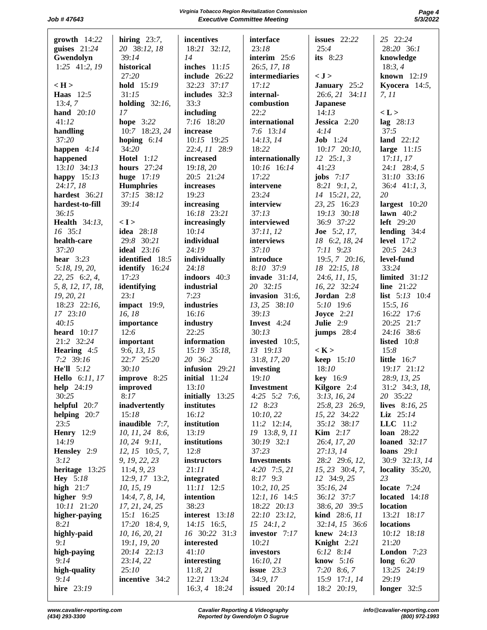| $growth$ 14:22                    | hiring $23:7$ ,                   | incentives                      | interface                  | issues $22:22$                     | 25 22:24                   |
|-----------------------------------|-----------------------------------|---------------------------------|----------------------------|------------------------------------|----------------------------|
| guises 21:24                      | 20 38:12, 18                      | 18:21 32:12,                    | 23:18                      | 25:4                               | 28:20 36:1                 |
| Gwendolyn                         | 39:14                             | 14                              | interim 25:6               | its $8:23$                         | knowledge                  |
| $1:25$ 41:2, 19                   | historical                        | inches 11:15                    | 26:5, 17, 18               |                                    | 18:3,4                     |
|                                   | 27:20                             | include 26:22                   | intermediaries             | < J >                              | known 12:19                |
| $\langle H \rangle$               | hold 15:19                        | 32:23 37:17                     | 17:12                      | January 25:2                       | Kyocera $14:5$ ,           |
| <b>Haas</b> 12:5                  | 31:15                             | includes $32:3$                 | internal-                  | 26:6, 21 34:11                     | 7, 11                      |
| 13:4,7<br>hand $20:10$            | holding $32:16$ ,<br>17           | 33:3<br>including               | combustion<br>22:2         | <b>Japanese</b><br>14:13           | < L >                      |
| 41:12                             | hope $3:22$                       | 7:16 18:20                      | international              | Jessica 2:20                       | lag $28:13$                |
| handling                          | 10:7 18:23, 24                    | increase                        | 7:6 13:14                  | 4:14                               | 37:5                       |
| 37:20                             | hoping $6:14$                     | 10:15 19:25                     | 14:13, 14                  | <b>Job</b> $1:24$                  | land $22:12$               |
| happen $4:14$                     | 34:20                             | 22:4, 11 28:9                   | 18:22                      | $10:17$ $20:10$ ,                  | large $11:15$              |
| happened                          | <b>Hotel</b> 1:12                 | increased                       | internationally            | $12 \quad 25:1, 3$                 | 17:11,17                   |
| 13:10 34:13                       | hours 27:24                       | 19:18, 20                       | 10:16 16:14                | 41:23                              | 24:1 28:4, 5               |
| happy $15:13$                     | huge 17:19<br><b>Humphries</b>    | 20:5 21:24<br>increases         | 17:22                      | jobs $7:17$                        | 31:10 33:16                |
| 24:17, 18<br>hardest 36:21        | 37:15 38:12                       | 19:23                           | intervene<br>23:24         | $8:21$ $9:1, 2$ ,<br>14 15:21, 22, | $36:4$ 41:1, 3,<br>20      |
| hardest-to-fill                   | 39:14                             | increasing                      | interview                  | 23, 25 16:23                       | largest $10:20$            |
| 36:15                             |                                   | 16:18 23:21                     | 37:13                      | 19:13 30:18                        | lawn $40:2$                |
| <b>Health</b> 34:13,              | < I >                             | increasingly                    | interviewed                | 36:9 37:22                         | left $29:20$               |
| $16$ 35:1                         | idea 28:18                        | 10:14                           | 37:11,12                   | <b>Joe</b> 5:2, 17,                | lending $34:4$             |
| health-care                       | 29:8 30:21                        | individual                      | interviews                 | 18 6:2, 18, 24                     | <b>level</b> 17:2          |
| 37:20                             | ideal $23:16$                     | 24:19                           | 37:10                      | $7:11$ 9:23                        | 20:5 24:3                  |
| hear $3:23$<br>5:18, 19, 20,      | identified 18:5<br>identify 16:24 | individually<br>24:18           | introduce<br>8:10 37:9     | 19:5, 7 20:16,<br>18 22:15, 18     | level-fund<br>33:24        |
| 22, 25 6:2, 4,                    | 17:23                             | indoors $40:3$                  | invade $31:14$ ,           | 24:6, 11, 15,                      | <b>limited</b> 31:12       |
| 5, 8, 12, 17, 18,                 | identifying                       | industrial                      | 20 32:15                   | 16, 22 32:24                       | line 21:22                 |
| 19, 20, 21                        | 23:1                              | 7:23                            | invasion $31:6$ ,          | Jordan 2:8                         | list $5:13$ $10:4$         |
| 18:23 22:16,                      | impact 19:9,                      | industries                      | 13, 25 38:10               | 5:10 19:6                          | 15:5, 16                   |
| 17 23:10                          | 16, 18                            | 16:16                           | 39:13                      | Joyce $2:21$                       | 16:22 17:6                 |
| 40:15<br>heard $10:17$            | importance<br>12:6                | industry<br>22:25               | Invest 4:24<br>30:13       | Julie 2:9                          | 20:25 21:7<br>24:16 38:6   |
| 21:2 32:24                        | important                         | information                     | invested 10:5,             | jumps $28:4$                       | listed $10:8$              |
| Hearing 4:5                       | 9:6, 13, 15                       | 15:19 35:18,                    | 13 19:13                   | < K >                              | 15:8                       |
| 7:2 39:16                         | 22:7 25:20                        | 20 36:2                         | 31:8, 17, 20               | keep 15:10                         | <b>little</b> 16:7         |
| <b>He'll</b> 5:12                 | 30:10                             | infusion $29:21$                | investing                  | 18:10                              | 19:17 21:12                |
| <b>Hello</b> 6:11, 17             | improve 8:25                      | initial $11:24$                 | 19:10                      | key 16:9                           | 28:9, 13, 25               |
| help 24:19                        | improved                          | 13:10                           | <b>Investment</b>          | Kilgore 2:4                        | 31:2 34:3, 18,             |
| 30:25<br>helpful 20:7             | 8:17<br>inadvertently             | initially $13:25$<br>institutes | $4:25$ 5:2 7:6,<br>12 8:23 | 3:13, 16, 24<br>25:8, 23 26:9,     | 20 35:22<br>lives 8:16, 25 |
| helping $20:7$                    | 15:18                             | 16:12                           | 10:10,22                   | 15, 22 34:22                       | Liz $25:14$                |
| 23:5                              | inaudible 7:7,                    | institution                     | $11:2$ 12:14,              | 35:12 38:17                        | LLC 11:2                   |
| <b>Henry</b> 12:9                 | 10, 11, 24 8:6,                   | 13:19                           | 19 13:8, 9, 11             | <b>Kim</b> $2:17$                  | <b>loan</b> 28:22          |
| 14:19                             | $10, 24$ 9:11,                    | institutions                    | $30:19$ $32:1$             | 26:4, 17, 20                       | loaned $32:17$             |
| Hensley 2:9                       | $12, 15$ 10:5, 7,                 | 12:8                            | 37:23                      | 27:13, 14                          | loans $29:1$               |
| 3:12                              | 9, 19, 22, 23                     | instructors                     | <b>Investments</b>         | 28:2 29:6, 12,                     | 30:9 32:13, 14             |
| heritage 13:25<br><b>Hey</b> 5:18 | 11:4, 9, 23<br>12:9, 17 13:2,     | 21:11<br>integrated             | 4:20 7:5, 21<br>$8:17$ 9:3 | 15, 23 30:4, 7,<br>12 34:9, 25     | locality $35:20$ ,<br>23   |
| high $21:7$                       | 10, 15, 19                        | $11:11$ 12:5                    | 10:2, 10, 25               | 35:16, 24                          | locate $7:24$              |
| higher $9:9$                      | 14:4, 7, 8, 14,                   | intention                       | $12:1, 16$ 14:5            | 36:12 37:7                         | located $14:18$            |
| 10:11 21:20                       | 17, 21, 24, 25                    | 38:23                           | 18:22 20:13                | 38:6, 20 39:5                      | location                   |
| higher-paying                     | 15:1 16:25                        | interest 13:18                  | 22:10 23:12,               | kind 28:6, 11                      | 13:21 18:17                |
| 8:21                              | 17:20 18:4, 9,                    | $14:15$ 16:5,                   | $15 \quad 24:1, 2$         | 32:14, 15 36:6                     | locations                  |
| highly-paid<br>9:1                | 10, 16, 20, 21                    | 16 30:22 31:3                   | investor 7:17<br>10:21     | knew $24:13$                       | 10:12 18:18<br>21:20       |
| high-paying                       | 19:1, 19, 20<br>20:14 22:13       | interested<br>41:10             | investors                  | Knight 2:21<br>6:12 8:14           | London $7:23$              |
| 9:14                              | 23:14, 22                         | interesting                     | 16:10,21                   | know $5:16$                        | long $6:20$                |
| high-quality                      | 25:10                             | 11:8, 21                        | issue $23:3$               | $7:20$ 8:6, 7                      | 13:25 24:19                |
| 9:14                              | incentive 34:2                    | 12:21 13:24                     | 34:9,17                    | 15:9 17:1, 14                      | 29:19                      |
| hire 23:19                        |                                   | 16:3, 4 18:24                   | issued $20:14$             | 18:2 20:19,                        | longer $32:5$              |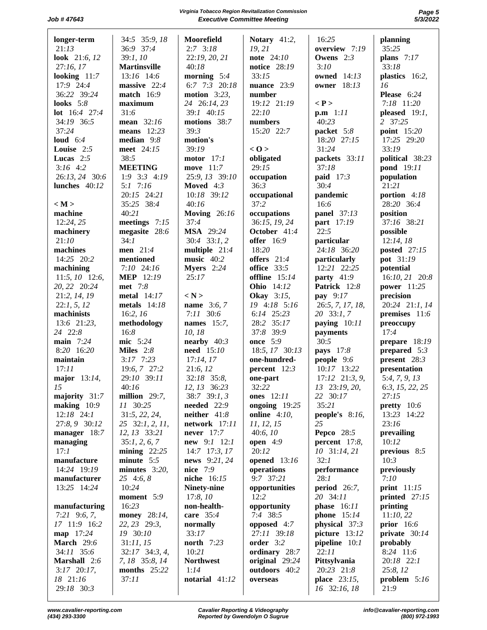**Virginia Tobacco Region Revitalization Commission Page 5 Job #47643 Executive Committee Meeting** 

| longer-term<br>21:13            | 34:5 35:9, 18<br>36:9 37:4  | Moorefield<br>$2:7$ 3:18        | Notary 41:2,<br>19, 21           | 16:25<br>overview 7:19          | planning<br>35:25                |
|---------------------------------|-----------------------------|---------------------------------|----------------------------------|---------------------------------|----------------------------------|
| look 21:6, 12                   | 39:1, 10                    | 22:19, 20, 21                   | note 24:10                       | Owens $2:3$                     | plans $7:17$                     |
| 27:16, 17                       | <b>Martinsville</b>         | 40:18                           | notice 28:19                     | 3:10                            | 33:18                            |
| looking $11:7$                  | 13:16 14:6                  | morning $5:4$                   | 33:15                            | owned 14:13                     | plastics 16:2,                   |
| 17:9 24:4                       | massive $22:4$              | 6:7 7:3 20:18                   | nuance $23:9$                    | <b>owner</b> 18:13              | 16                               |
| 36:22 39:24                     | <b>match</b> 16:9           | motion $3:23$ ,                 | number                           |                                 | Please 6:24                      |
| looks $5:8$                     | maximum                     | 24 26:14, 23                    | 19:12 21:19                      | $\langle P \rangle$             | 7:18 11:20                       |
| lot 16:4 27:4                   | 31:6                        | 39:1 40:15                      | 22:10                            | p.m 1:11                        | pleased $19:1$ ,                 |
| 34:19 36:5<br>37:24             | mean 32:16<br>means $12:23$ | motions 38:7<br>39:3            | numbers<br>15:20 22:7            | 40:23                           | 2 37:25<br>point 15:20           |
| loud $6:4$                      | median $9:8$                | motion's                        |                                  | packet 5:8<br>18:20 27:15       | 17:25 29:20                      |
| Louise $2:5$                    | meet 24:15                  | 39:19                           | < 0>                             | 31:24                           | 33:19                            |
| Lucas $2:5$                     | 38:5                        | motor $17:1$                    | obligated                        | packets 33:11                   | political 38:23                  |
| $3:16$ 4:2                      | <b>MEETING</b>              | move 11:7                       | 29:15                            | 37:18                           | pond 19:11                       |
| 26:13, 24 30:6                  | $1:9$ 3:3 4:19              | 25:9, 13 39:10                  | occupation                       | paid $17:3$                     | population                       |
| lunches 40:12                   | $5:1$ 7:16                  | Moved $4:3$                     | 36:3                             | 30:4                            | 21:21                            |
|                                 | 20:15 24:21                 | 10:18 39:12                     | occupational                     | pandemic                        | portion 4:18                     |
| < M ><br>machine                | 35:25 38:4<br>40:21         | 40:16                           | 37:2                             | 16:6                            | 28:20 36:4                       |
| 12:24, 25                       | meetings $7:15$             | <b>Moving</b> 26:16<br>37:4     | occupations<br>36:15, 19, 24     | <b>panel</b> 37:13              | position<br>37:16 38:21          |
| machinery                       | megasite 28:6               | <b>MSA</b> 29:24                | October 41:4                     | part 17:19<br>22:5              | possible                         |
| 21:10                           | 34:1                        | $30:4$ 33:1, 2                  | <b>offer</b> 16:9                | particular                      | 12:14,18                         |
| machines                        | men 21:4                    | multiple $21:4$                 | 18:20                            | 24:18 36:20                     | <b>posted</b> 27:15              |
| 14:25 20:2                      | mentioned                   | music 40:2                      | offers $21:4$                    | particularly                    | pot 31:19                        |
| machining                       | $7:10$ 24:16                | Myers $2:24$                    | office 33:5                      | 12:21 22:25                     | potential                        |
| $11:5, 10$ 12:6,                | <b>MEP</b> 12:19            | 25:17                           | offline $15:14$                  | party $41:9$                    | 16:10, 21 20:8                   |
| 20, 22 20:24                    | met 7:8                     |                                 | <b>Ohio</b> 14:12                | Patrick 12:8                    | power 11:25                      |
| 21:2, 14, 19                    | metal 14:17                 | < N >                           | <b>Okay</b> 3:15,                | pay 9:17                        | precision                        |
| 22:1, 5, 12<br>machinists       | metals $14:18$<br>16:2, 16  | name 3:6, 7<br>$7:11$ 30:6      | 19 4:18 5:16<br>6:14 25:23       | 26:5, 7, 17, 18,<br>20 33:1,7   | 20:24 21:1, 14<br>premises 11:6  |
| 13:6 21:23,                     | methodology                 | names 15:7,                     | 28:2 35:17                       | paying $10:11$                  | preoccupy                        |
| 24 22:8                         | 16:8                        | 10, 18                          | 37:8 39:9                        | payments                        | 17:4                             |
| main $7:24$                     | mic 5:24                    | nearby $40:3$                   | <b>once</b> 5:9                  | 30:5                            | prepare 18:19                    |
| 8:20 16:20                      | Miles $2:8$                 | need 15:10                      | 18:5, 17 30:13                   | <b>pays</b> 17:8                | prepared $5:3$                   |
| maintain                        | $3:17$ 7:23                 | 17:14, 17                       | one-hundred-                     | people 9:6                      | present $28:3$                   |
| 17:11                           | 19:6, 7 27:2                | 21:6, 12                        | percent 12:3                     | 10:17 13:22                     | presentation                     |
| major 13:14,                    | 29:10 39:11                 | 32:18 35:8,                     | one-part                         | $17:12$ $21:3, 9$ ,             | 5:4, 7, 9, 13                    |
| 15                              | 40:16                       | 12, 13 36:23                    | 32:22                            | 13 23:19, 20,                   | 6:3, 15, 22, 25                  |
| majority 31:7                   | million $29:7$ ,            | $38:7$ 39:1, 3                  | ones $12:11$                     | 22 30:17                        | 27:15                            |
| making $10:9$<br>$12:18$ $24:1$ | 11 30:25<br>31:5, 22, 24,   | needed $22:9$<br>neither $41:8$ | ongoing 19:25<br>online $4:10$ , | 35:21<br>people's $8:16$ ,      | pretty $10:6$<br>13:23 14:22     |
| 27:8, 9 30:12                   | 25 32:1, 2, 11,             | network 17:11                   | 11, 12, 15                       | 25                              | 23:16                            |
| manager 18:7                    | 12, 13 33:21                | never $17:7$                    | 40:6,10                          | <b>Pepco</b> 28:5               | prevailing                       |
| managing                        | 35:1, 2, 6, 7               | new 9:1 12:1                    | open $4:9$                       | percent $17:8$ ,                | 10:12                            |
| 17:1                            | $mining$ 22:25              | 14:7 17:3, 17                   | 20:12                            | 10 31:14, 21                    | previous 8:5                     |
| manufacture                     | minute 5:5                  | news 9:21, 24                   | opened $13:16$                   | 32:1                            | 10:3                             |
| 14:24 19:19                     | minutes $3:20$ ,            | nice 7:9                        | operations                       | performance                     | previously                       |
| manufacturer                    | 25 4:6, 8                   | niche 16:15                     | 9:7 37:21                        | 28:1                            | 7:10                             |
| 13:25 14:24                     | 10:24<br>moment 5:9         | Ninety-nine<br>17:8,10          | opportunities<br>12:2            | <b>period</b> 26:7,<br>20 34:11 | print $11:15$<br>printed $27:15$ |
| manufacturing                   | 16:23                       | non-health-                     | opportunity                      | phase 16:11                     | printing                         |
| $7:21$ 9:6, 7,                  | money 28:14,                | care 35:4                       | 7:4 38:5                         | phone $15:14$                   | 11:10,22                         |
| 17 11:9 16:2                    | 22, 23 29:3,                | normally                        | opposed 4:7                      | physical $37:3$                 | prior $16:6$                     |
| map 17:24                       | 19 30:10                    | 33:17                           | 27:11 39:18                      | picture 13:12                   | private $30:14$                  |
| March 29:6                      | 31:11, 15                   | <b>north</b> 7:23               | order 3:2                        | pipeline $10:1$                 | probably                         |
| 34:11 35:6                      | 32:17 34:3, 4,              | 10:21                           | ordinary 28:7                    | 22:11                           | 8:24 11:6                        |
| Marshall 2:6                    | 7, 18 35:8, 14              | <b>Northwest</b>                | original 29:24                   | Pittsylvania                    | 20:18 22:1                       |
| $3:17$ 20:17,                   | months 25:22                | 1:14                            | outdoors 40:2                    | 20:23 21:8                      | 25:8, 12                         |
| 18 21:16<br>29:18 30:3          | 37:11                       | notarial 41:12                  | overseas                         | place 23:15,<br>16 32:16, 18    | problem $5:16$<br>21:9           |
|                                 |                             |                                 |                                  |                                 |                                  |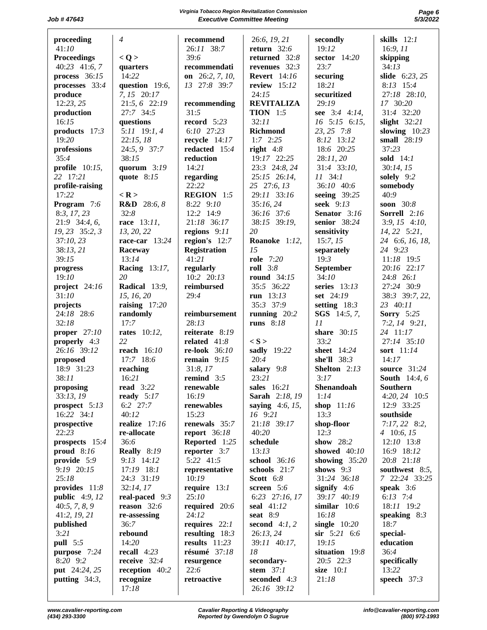|                    | $\overline{4}$         |                     |                     | secondly            |                      |
|--------------------|------------------------|---------------------|---------------------|---------------------|----------------------|
| proceeding         |                        | recommend           | 26:6, 19, 21        |                     | skills $12:1$        |
| 41:10              |                        | 26:11 38:7          | return $32:6$       | 19:12               | 16:9, 11             |
| <b>Proceedings</b> | < Q >                  | 39:6                | returned 32:8       | sector 14:20        | skipping             |
| 40:23 41:6, 7      | quarters               | recommendati        | revenues $32:3$     | 23:7                | 34:13                |
| process 36:15      | 14:22                  | on $26:2, 7, 10,$   | <b>Revert</b> 14:16 | securing            | slide 6:23, 25       |
| processes 33:4     | question 19:6,         | 13 27:8 39:7        | review 15:12        | 18:21               | 8:13 15:4            |
| produce            | 7, 15 20:17            |                     | 24:15               | securitized         | 27:18 28:10,         |
|                    |                        |                     |                     |                     |                      |
| 12:23, 25          | 21:5, 6 22:19          | recommending        | <b>REVITALIZA</b>   | 29:19               | 17 30:20             |
| production         | 27:7 34:5              | 31:5                | <b>TION</b> $1:5$   | see 3:4 4:14,       | 31:4 32:20           |
| 16:15              | questions              | record $5:23$       | 32:11               | 16 5:15 6:15,       | slight $32:21$       |
| products $17:3$    | $5:11$ 19:1, 4         | 6:10 27:23          | Richmond            | 23, 25 7:8          | slowing $10:23$      |
| 19:20              | 22:15,18               | recycle $14:17$     | $1:7$ 2:25          | 8:12 13:12          | small 28:19          |
| professions        | 24:5, 9 37:7           | redacted $15:4$     | right $4:8$         | 18:6 20:25          | 37:23                |
| 35:4               | 38:15                  | reduction           | 19:17 22:25         | 28:11,20            | sold $14:1$          |
|                    |                        |                     |                     |                     |                      |
| profile $10:15$ ,  | quorum $3:19$          | 14:21               | 23:3 24:8, 24       | 31:4 33:10,         | 30:14, 15            |
| 22 17:21           | quote $8:15$           | regarding           | 25:15 26:14,        | $11 \quad 34:1$     | solely 9:2           |
| profile-raising    |                        | 22:22               | 25 27:6, 13         | 36:10 40:6          | somebody             |
| 17:22              | $<$ R $>$              | <b>REGION</b> 1:5   | 29:11 33:16         | seeing $39:25$      | 40:9                 |
| Program 7:6        | <b>R&amp;D</b> 28:6, 8 | 8:22 9:10           | 35:16, 24           | <b>seek</b> 9:13    | soon 30:8            |
| 8:3, 17, 23        | 32:8                   | 12:2 14:9           | 36:16 37:6          | Senator 3:16        | Sorrell 2:16         |
| $21:9$ 34:4, 6,    | race 13:11,            | 21:18 36:17         | 38:15 39:19,        | senior 38:24        |                      |
|                    |                        |                     |                     |                     | $3:9, 15$ 4:10,      |
| 19, 23 35:2, 3     | 13, 20, 22             | regions $9:11$      | 20                  | sensitivity         | $14, 22$ 5:21,       |
| 37:10,23           | race-car $13:24$       | region's $12:7$     | Roanoke 1:12,       | 15:7, 15            | 24 6:6, 16, 18,      |
| 38:13,21           | Raceway                | <b>Registration</b> | 15                  | separately          | 24 9:23              |
| 39:15              | 13:14                  | 41:21               | role 7:20           | 19:3                | 11:18 19:5           |
| progress           | <b>Racing</b> 13:17,   | regularly           | <b>roll</b> 3:8     | September           | 20:16 22:17          |
| 19:10              | 20                     | 10:2 20:13          | round 34:15         | 34:10               | 24:8 26:1            |
| project 24:16      | Radical 13:9,          | reimbursed          | 35:5 36:22          | series $13:13$      | 27:24 30:9           |
|                    |                        |                     |                     |                     |                      |
| 31:10              | 15, 16, 20             | 29:4                | run $13:13$         | set 24:19           | 38:3 39:7, 22,       |
| projects           | raising $17:20$        |                     | 35:3 37:9           | setting $18:3$      | 23 40:11             |
| 24:18 28:6         | randomly               | reimbursement       | running $20:2$      | <b>SGS</b> 14:5, 7, | <b>Sorry</b> 5:25    |
|                    |                        |                     |                     |                     |                      |
| 32:18              | 17:7                   | 28:13               | runs 8:18           | 11                  |                      |
|                    |                        |                     |                     |                     | $7:2, 14$ 9:21,      |
| proper $27:10$     | <b>rates</b> 10:12,    | reiterate 8:19      |                     | share 30:15         | 24 11:17             |
| properly $4:3$     | 22                     | related $41:8$      | $\langle S \rangle$ | 33:2                | 27:14 35:10          |
| 26:16 39:12        | reach 16:10            | re-look 36:10       | sadly 19:22         | sheet 14:24         | sort 11:14           |
| proposed           | 17:7 18:6              | remain $9:15$       | 20:4                | she'll $38:3$       | 14:17                |
| 18:9 31:23         | reaching               | 31:8,17             | salary 9:8          | Shelton 2:13        | source 31:24         |
| 38:11              | 16:21                  | remind $3:5$        | 23:21               | 3:17                | <b>South</b> 14:4, 6 |
|                    | <b>read</b> 3:22       | renewable           | sales 16:21         |                     |                      |
| proposing          |                        |                     |                     | Shenandoah          | Southern             |
| 33:13, 19          | ready $5:17$           | 16:19               | Sarah 2:18, 19      | 1:14                | 4:20, 24 10:5        |
| prospect 5:13      | 6:2 27:7               | renewables          | saying $4:6, 15,$   | shop 11:16          | 12:9 33:25           |
| $16:22$ $34:1$     | 40:12                  | 15:23               | 16 9:21             | 13:3                | southside            |
| prospective        | realize 17:16          | renewals 35:7       | 21:18 39:17         | shop-floor          | $7:17,22$ 8:2,       |
| 22:23              | re-allocate            | report $36:18$      | 40:20               | 12:3                | $4\quad 10:6, 15$    |
| prospects 15:4     | 36:6                   | Reported 1:25       | schedule            | show 28:2           | 12:10 13:8           |
| proud $8:16$       | Really 8:19            | reporter 3:7        | 13:13               | showed 40:10        | 16:9 18:12           |
|                    |                        |                     |                     |                     |                      |
| provide 5:9        | 9:13 14:12             | 5:22 41:5           | school 36:16        | showing $35:20$     | 20:8 21:18           |
| 9:19 20:15         | $17:19$ 18:1           | representative      | schools 21:7        | shows $9:3$         | southwest 8:5,       |
| 25:18              | 24:3 31:19             | 10:19               | Scott 6:8           | 31:24 36:18         | 7 22:24 33:25        |
| provides $11:8$    | 32:14, 17              | require $13:1$      | screen 5:6          | signify $4:6$       | speak $3:6$          |
| public $4:9, 12$   | real-paced 9:3         | 25:10               | 6:23 27:16, 17      | 39:17 40:19         | $6:13$ 7:4           |
| 40:5, 7, 8, 9      | reason $32:6$          | required 20:6       | seal 41:12          | similar $10:6$      | 18:11 19:2           |
| 41:2, 19, 21       | re-assessing           | 24:12               | seat 8:9            | 16:18               | speaking $8:3$       |
|                    |                        |                     |                     |                     | 18:7                 |
| published          | 36:7                   | requires $22:1$     | second $4:1, 2$     | single $10:20$      |                      |
| 3:21               | rebound                | resulting $18:3$    | 26:13,24            | $\sin$ 5:21 6:6     | special-             |
| pull 5:5           | 14:20                  | results $11:23$     | 39:11 40:17,        | 19:15               | education            |
| purpose 7:24       | recall $4:23$          | résumé 37:18        | 18                  | situation 19:8      | 36:4                 |
| 8:20 9:2           | receive $32:4$         | resurgence          | secondary-          | 20:5 22:3           | specifically         |
| put 24:24, 25      | reception 40:2         | 22:6                | stem $37:1$         | size $10:1$         | 13:22                |
| putting $34:3$ ,   | recognize              | retroactive         | seconded 4:3        | 21:18               | speech $37:3$        |
|                    | 17:18                  |                     | 26:16 39:12         |                     |                      |